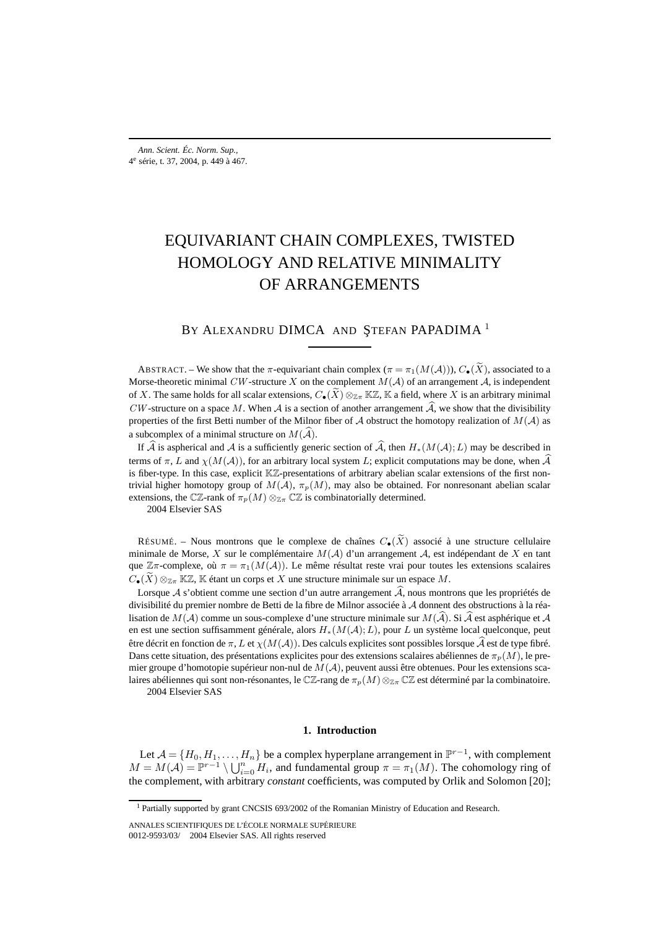# EQUIVARIANT CHAIN COMPLEXES, TWISTED HOMOLOGY AND RELATIVE MINIMALITY OF ARRANGEMENTS

## BY ALEXANDRU DIMCA AND ŞTEFAN PAPADIMA<sup>1</sup>

ABSTRACT. – We show that the  $\pi$ -equivariant chain complex  $(\pi = \pi_1(M(\mathcal{A}))), C_{\bullet}(\widetilde{X})$ , associated to a Morse-theoretic minimal CW-structure X on the complement  $M(A)$  of an arrangement A, is independent of X. The same holds for all scalar extensions,  $C_{\bullet}(\tilde{X}) \otimes_{\mathbb{Z}_T} \mathbb{K}\mathbb{Z}$ , K a field, where X is an arbitrary minimal CW-structure on a space M. When A is a section of another arrangement A, we show that the divisibility properties of the first Betti number of the Milnor fiber of A obstruct the homotopy realization of  $M(A)$  as a subcomplex of a minimal structure on  $M(A)$ .

If A is aspherical and A is a sufficiently generic section of A, then  $H_*(M(\mathcal{A});L)$  may be described in terms of  $\pi$ , L and  $\chi(M(\mathcal{A}))$ , for an arbitrary local system L; explicit computations may be done, when  $\mathcal A$ is fiber-type. In this case, explicit KZ-presentations of arbitrary abelian scalar extensions of the first nontrivial higher homotopy group of  $M(A)$ ,  $\pi_p(M)$ , may also be obtained. For nonresonant abelian scalar extensions, the CZ-rank of  $\pi_p(M) \otimes_{\mathbb{Z}_p} \mathbb{C}\mathbb{Z}$  is combinatorially determined.

2004 Elsevier SAS

RÉSUMÉ. – Nous montrons que le complexe de chaînes  $C_{\bullet}(\widetilde{X})$  associé à une structure cellulaire minimale de Morse, X sur le complémentaire  $M(A)$  d'un arrangement A, est indépendant de X en tant que  $\mathbb{Z}\pi$ -complexe, où  $\pi = \pi_1(M(\mathcal{A}))$ . Le même résultat reste vrai pour toutes les extensions scalaires  $C_{\bullet}(X) \otimes_{\mathbb{Z}_{\pi}} \mathbb{K} \mathbb{Z}$ , K étant un corps et X une structure minimale sur un espace M.

Lorsque A s'obtient comme une section d'un autre arrangement A, nous montrons que les propriétés de divisibilité du premier nombre de Betti de la fibre de Milnor associée à A donnent des obstructions à la réalisation de  $M(A)$  comme un sous-complexe d'une structure minimale sur  $M(A)$ . Si A est asphérique et A en est une section suffisamment générale, alors H∗(M(A);L), pour L un système local quelconque, peut être décrit en fonction de  $\pi$ ,  $L$  et  $\chi(M(\mathcal{A}))$ . Des calculs explicites sont possibles lorsque  $\mathcal A$  est de type fibré. Dans cette situation, des présentations explicites pour des extensions scalaires abéliennes de  $\pi_p(M)$ , le premier groupe d'homotopie supérieur non-nul de  $M(\mathcal{A})$ , peuvent aussi être obtenues. Pour les extensions scalaires abéliennes qui sont non-résonantes, le CZ-rang de  $\pi_p(M) \otimes_{\mathbb{Z}_p} \mathbb{C} \mathbb{Z}$  est déterminé par la combinatoire. 2004 Elsevier SAS

## **1. Introduction**

Let  $\mathcal{A} = \{H_0, H_1, \ldots, H_n\}$  be a complex hyperplane arrangement in  $\mathbb{P}^{r-1}$ , with complement  $M = M(\mathcal{A}) = \mathbb{P}^{r-1} \setminus \bigcup_{i=0}^n H_i$ , and fundamental group  $\pi = \pi_1(M)$ . The cohomology ring of the complement, with arbitrary *constant* coefficients, was computed by Orlik and Solomon [20];

<sup>&</sup>lt;sup>1</sup> Partially supported by grant CNCSIS 693/2002 of the Romanian Ministry of Education and Research.

ANNALES SCIENTIFIQUES DE L'ÉCOLE NORMALE SUPÉRIEURE 0012-9593/03/© 2004 Elsevier SAS. All rights reserved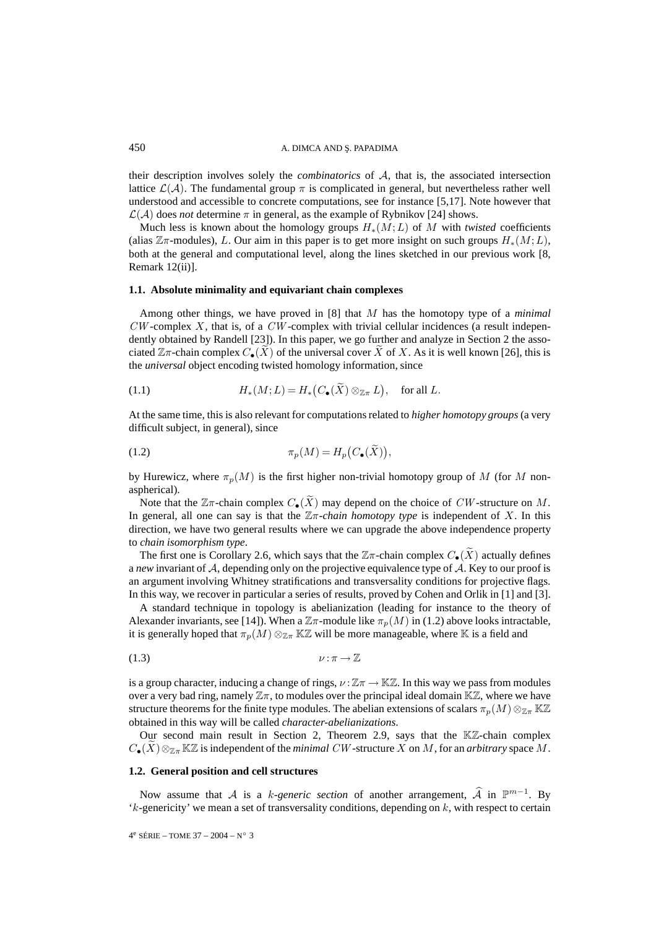their description involves solely the *combinatorics* of A, that is, the associated intersection lattice  $\mathcal{L}(\mathcal{A})$ . The fundamental group  $\pi$  is complicated in general, but nevertheless rather well understood and accessible to concrete computations, see for instance [5,17]. Note however that  $\mathcal{L}(\mathcal{A})$  does *not* determine  $\pi$  in general, as the example of Rybnikov [24] shows.

Much less is known about the homology groups H∗(M;L) of M with *twisted* coefficients (alias  $\mathbb{Z}\pi$ -modules), L. Our aim in this paper is to get more insight on such groups  $H_*(M;L)$ , both at the general and computational level, along the lines sketched in our previous work [8, Remark 12(ii)].

## **1.1. Absolute minimality and equivariant chain complexes**

Among other things, we have proved in [8] that M has the homotopy type of a *minimal*  $CW$ -complex X, that is, of a  $CW$ -complex with trivial cellular incidences (a result independently obtained by Randell [23]). In this paper, we go further and analyze in Section 2 the associated  $\mathbb{Z}\pi$ -chain complex  $C_{\bullet}(X)$  of the universal cover X of X. As it is well known [26], this is the *universal* object encoding twisted homology information, since

(1.1) 
$$
H_*(M;L) = H_*(C_{\bullet}(\widetilde{X}) \otimes_{\mathbb{Z}\pi} L), \text{ for all } L.
$$

At the same time, this is also relevant for computations related to *higher homotopy groups* (a very difficult subject, in general), since

(1.2) 
$$
\pi_p(M) = H_p(C_{\bullet}(\widetilde{X})),
$$

by Hurewicz, where  $\pi_p(M)$  is the first higher non-trivial homotopy group of M (for M nonaspherical).

Note that the  $\mathbb{Z}\pi$ -chain complex  $C_{\bullet}(\widetilde{X})$  may depend on the choice of CW-structure on M. In general, all one can say is that the  $\mathbb{Z}\pi$ -*chain homotopy type* is independent of X. In this direction, we have two general results where we can upgrade the above independence property to *chain isomorphism type*.

The first one is Corollary 2.6, which says that the  $\mathbb{Z}\pi$ -chain complex  $C_{\bullet}(\widetilde{X})$  actually defines a *new* invariant of A, depending only on the projective equivalence type of A. Key to our proof is an argument involving Whitney stratifications and transversality conditions for projective flags. In this way, we recover in particular a series of results, proved by Cohen and Orlik in [1] and [3].

A standard technique in topology is abelianization (leading for instance to the theory of Alexander invariants, see [14]). When a  $\mathbb{Z}\pi$ -module like  $\pi_p(M)$  in (1.2) above looks intractable, it is generally hoped that  $\pi_p(M) \otimes_{\mathbb{Z}_m} \mathbb{K} \mathbb{Z}$  will be more manageable, where K is a field and

$$
\nu:\pi\to\mathbb{Z}
$$

is a group character, inducing a change of rings,  $\nu : \mathbb{Z}\pi \to \mathbb{K}\mathbb{Z}$ . In this way we pass from modules over a very bad ring, namely  $\mathbb{Z}_{\pi}$ , to modules over the principal ideal domain  $\mathbb{K}\mathbb{Z}$ , where we have structure theorems for the finite type modules. The abelian extensions of scalars  $\pi_n(M) \otimes_{\mathbb{Z}_T} K\mathbb{Z}$ obtained in this way will be called *character-abelianizations*.

Our second main result in Section 2, Theorem 2.9, says that the KZ-chain complex  $C_{\bullet}(X)\otimes_{\mathbb{Z}_{\pi}}\mathbb{K}\mathbb{Z}$  is independent of the *minimal CW* -structure X on M, for an *arbitrary* space M.

## **1.2. General position and cell structures**

Now assume that A is a k-generic section of another arrangement,  $\hat{A}$  in  $\mathbb{P}^{m-1}$ . By  $k$ -genericity' we mean a set of transversality conditions, depending on  $k$ , with respect to certain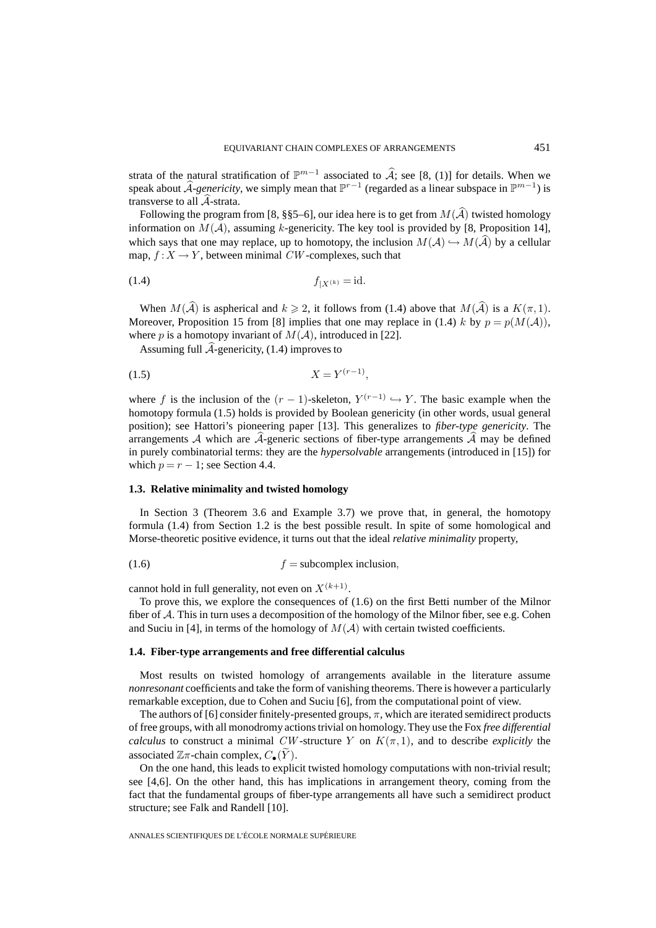strata of the natural stratification of  $\mathbb{P}^{m-1}$  associated to  $\widehat{A}$ ; see [8, (1)] for details. When we speak about  $\widehat{A}$ -genericity, we simply mean that  $\mathbb{P}^{r-1}$  (regarded as a linear subspace in  $\mathbb{P}^{m-1}$ ) is transverse to all  $A$ -strata.

Following the program from [8, §§5–6], our idea here is to get from  $M(\mathcal{A})$  twisted homology information on  $M(A)$ , assuming k-genericity. The key tool is provided by [8, Proposition 14], which says that one may replace, up to homotopy, the inclusion  $M(A) \hookrightarrow M(A)$  by a cellular map,  $f: X \to Y$ , between minimal CW-complexes, such that

$$
f_{|X^{(k)}} = \mathrm{id}.
$$

When  $M(A)$  is aspherical and  $k \ge 2$ , it follows from (1.4) above that  $M(A)$  is a  $K(\pi, 1)$ . Moreover, Proposition 15 from [8] implies that one may replace in (1.4) k by  $p = p(M(\mathcal{A}))$ , where p is a homotopy invariant of  $M(A)$ , introduced in [22].

Assuming full A-genericity, (1.4) improves to

$$
(1.5) \t\t X = Y^{(r-1)},
$$

where f is the inclusion of the  $(r - 1)$ -skeleton,  $Y^{(r-1)} \hookrightarrow Y$ . The basic example when the homotopy formula (1.5) holds is provided by Boolean genericity (in other words, usual general position); see Hattori's pioneering paper [13]. This generalizes to *fiber-type genericity*. The arrangements  $A$  which are  $A$ -generic sections of fiber-type arrangements  $A$  may be defined in purely combinatorial terms: they are the *hypersolvable* arrangements (introduced in [15]) for which  $p = r - 1$ ; see Section 4.4.

## **1.3. Relative minimality and twisted homology**

In Section 3 (Theorem 3.6 and Example 3.7) we prove that, in general, the homotopy formula (1.4) from Section 1.2 is the best possible result. In spite of some homological and Morse-theoretic positive evidence, it turns out that the ideal *relative minimality* property,

$$
(1.6) \t\t f = subcomplex inclusion,
$$

cannot hold in full generality, not even on  $X^{(k+1)}$ .

To prove this, we explore the consequences of (1.6) on the first Betti number of the Milnor fiber of  $A$ . This in turn uses a decomposition of the homology of the Milnor fiber, see e.g. Cohen and Suciu in [4], in terms of the homology of  $M(A)$  with certain twisted coefficients.

#### **1.4. Fiber-type arrangements and free differential calculus**

Most results on twisted homology of arrangements available in the literature assume *nonresonant* coefficients and take the form of vanishing theorems. There is however a particularly remarkable exception, due to Cohen and Suciu [6], from the computational point of view.

The authors of [6] consider finitely-presented groups,  $\pi$ , which are iterated semidirect products of free groups, with all monodromy actions trivial on homology. They use the Fox *free differential calculus* to construct a minimal CW-structure Y on  $K(\pi, 1)$ , and to describe *explicitly* the associated  $\mathbb{Z}\pi$ -chain complex,  $C_{\bullet}(\widetilde{Y})$ .

On the one hand, this leads to explicit twisted homology computations with non-trivial result; see [4,6]. On the other hand, this has implications in arrangement theory, coming from the fact that the fundamental groups of fiber-type arrangements all have such a semidirect product structure; see Falk and Randell [10].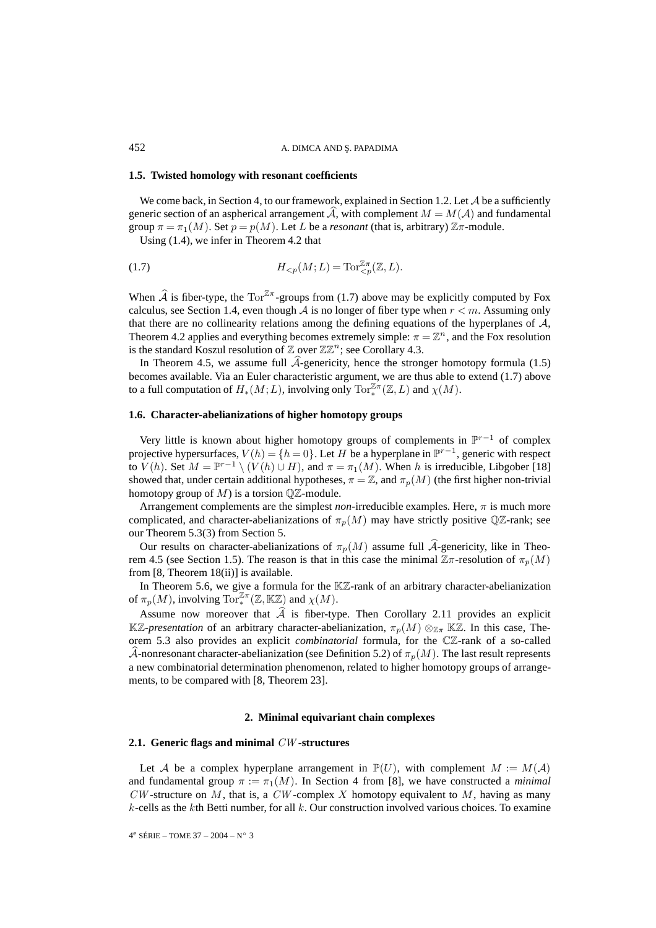#### **1.5. Twisted homology with resonant coefficients**

We come back, in Section 4, to our framework, explained in Section 1.2. Let  $\mathcal A$  be a sufficiently generic section of an aspherical arrangement A, with complement  $M = M(A)$  and fundamental group  $\pi = \pi_1(M)$ . Set  $p = p(M)$ . Let L be a *resonant* (that is, arbitrary)  $\mathbb{Z}\pi$ -module.

Using (1.4), we infer in Theorem 4.2 that

$$
(1.7)\qquad H_{
$$

When  $\hat{A}$  is fiber-type, the Tor<sup> $\mathbb{Z}_{T}$ </sup>-groups from (1.7) above may be explicitly computed by Fox calculus, see Section 1.4, even though A is no longer of fiber type when  $r < m$ . Assuming only that there are no collinearity relations among the defining equations of the hyperplanes of  $A$ , Theorem 4.2 applies and everything becomes extremely simple:  $\pi = \mathbb{Z}^n$ , and the Fox resolution is the standard Koszul resolution of  $\mathbb Z$  over  $\mathbb Z\mathbb Z^n$ ; see Corollary 4.3.

In Theorem 4.5, we assume full  $A$ -genericity, hence the stronger homotopy formula  $(1.5)$ becomes available. Via an Euler characteristic argument, we are thus able to extend (1.7) above to a full computation of  $H_*(M;L)$ , involving only  $\text{Tor}_*^{\mathbb{Z}\pi}(\mathbb{Z},L)$  and  $\chi(M)$ .

#### **1.6. Character-abelianizations of higher homotopy groups**

Very little is known about higher homotopy groups of complements in P<sup>r</sup>−<sup>1</sup> of complex projective hypersurfaces,  $V(h) = \{h = 0\}$ . Let H be a hyperplane in  $\mathbb{P}^{r-1}$ , generic with respect to  $V(h)$ . Set  $M = \mathbb{P}^{r-1} \setminus (V(h) \cup H)$ , and  $\pi = \pi_1(M)$ . When h is irreducible, Libgober [18] showed that, under certain additional hypotheses,  $\pi = \mathbb{Z}$ , and  $\pi_p(M)$  (the first higher non-trivial homotopy group of  $M$ ) is a torsion  $\mathbb{Q} \mathbb{Z}$ -module.

Arrangement complements are the simplest *non*-irreducible examples. Here,  $\pi$  is much more complicated, and character-abelianizations of  $\pi_p(M)$  may have strictly positive QZ-rank; see our Theorem 5.3(3) from Section 5.

Our results on character-abelianizations of  $\pi_p(M)$  assume full A-genericity, like in Theorem 4.5 (see Section 1.5). The reason is that in this case the minimal  $\mathbb{Z}\pi$ -resolution of  $\pi_p(M)$ from [8, Theorem 18(ii)] is available.

In Theorem 5.6, we give a formula for the  $K\mathbb{Z}$ -rank of an arbitrary character-abelianization of  $\pi_p(M)$ , involving  $\operatorname{Tor}^{\mathbb{Z}\pi}_*(\mathbb{Z}, \mathbb{K}\mathbb{Z})$  and  $\chi(M)$ .

Assume now moreover that  $A$  is fiber-type. Then Corollary 2.11 provides an explicit KZ-*presentation* of an arbitrary character-abelianization,  $\pi_p(M) \otimes_{\mathbb{Z}_T} K\mathbb{Z}$ . In this case, Theorem 5.3 also provides an explicit *combinatorial* formula, for the CZ-rank of a so-called A-nonresonant character-abelianization (see Definition 5.2) of  $\pi_p(M)$ . The last result represents a new combinatorial determination phenomenon, related to higher homotopy groups of arrangements, to be compared with [8, Theorem 23].

#### **2. Minimal equivariant chain complexes**

#### **2.1. Generic flags and minimal** CW **-structures**

Let A be a complex hyperplane arrangement in  $\mathbb{P}(U)$ , with complement  $M := M(\mathcal{A})$ and fundamental group  $\pi := \pi_1(M)$ . In Section 4 from [8], we have constructed a *minimal*  $CW$ -structure on M, that is, a  $CW$ -complex X homotopy equivalent to M, having as many  $k$ -cells as the kth Betti number, for all  $k$ . Our construction involved various choices. To examine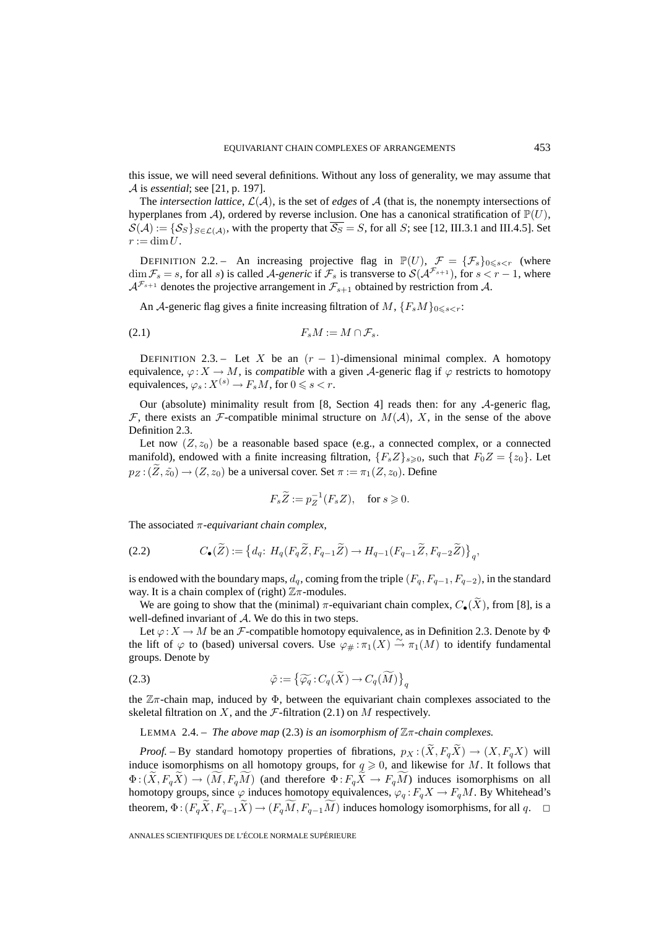this issue, we will need several definitions. Without any loss of generality, we may assume that A is *essential*; see [21, p. 197].

The *intersection lattice*,  $\mathcal{L}(\mathcal{A})$ , is the set of *edges* of  $\mathcal{A}$  (that is, the nonempty intersections of hyperplanes from A), ordered by reverse inclusion. One has a canonical stratification of  $\mathbb{P}(U)$ ,  $S(\mathcal{A}) := \{S_S\}_{S \in \mathcal{L}(\mathcal{A})}$ , with the property that  $\overline{S_S} = S$ , for all S; see [12, III.3.1 and III.4.5]. Set  $r := \dim U$ .

DEFINITION 2.2. – An increasing projective flag in  $\mathbb{P}(U)$ ,  $\mathcal{F} = {\{\mathcal{F}_s\}_{0 \leq s < r}}$  (where  $\dim \mathcal{F}_s = s$ , for all s) is called A-generic if  $\mathcal{F}_s$  is transverse to  $\mathcal{S}(\mathcal{A}^{\mathcal{F}_{s+1}})$ , for  $s < r - 1$ , where  $A^{\mathcal{F}_{s+1}}$  denotes the projective arrangement in  $\mathcal{F}_{s+1}$  obtained by restriction from A.

An A-generic flag gives a finite increasing filtration of M,  $\{F_sM\}_{0\leq s\leq r}$ .

$$
(2.1) \t\t\t F_sM := M \cap \mathcal{F}_s.
$$

DEFINITION 2.3. – Let X be an  $(r - 1)$ -dimensional minimal complex. A homotopy equivalence,  $\varphi: X \to M$ , is *compatible* with a given A-generic flag if  $\varphi$  restricts to homotopy equivalences,  $\varphi_s: X^{(s)} \to F_sM$ , for  $0 \leqslant s < r$ .

Our (absolute) minimality result from [8, Section 4] reads then: for any  $\mathcal{A}$ -generic flag,  $F$ , there exists an  $F$ -compatible minimal structure on  $M(A)$ , X, in the sense of the above Definition 2.3.

Let now  $(Z, z_0)$  be a reasonable based space (e.g., a connected complex, or a connected manifold), endowed with a finite increasing filtration,  $\{F_s Z\}_{s\geqslant 0}$ , such that  $F_0 Z = \{z_0\}$ . Let  $p_Z : (\tilde{Z}, \tilde{z_0}) \to (Z, z_0)$  be a universal cover. Set  $\pi := \pi_1(Z, z_0)$ . Define

$$
F_s \widetilde{Z} := p_Z^{-1}(F_s Z), \quad \text{for } s \geqslant 0.
$$

The associated π-*equivariant chain complex*,

(2.2) 
$$
C_{\bullet}(\widetilde{Z}) := \left\{ d_q \colon H_q(F_q \widetilde{Z}, F_{q-1} \widetilde{Z}) \to H_{q-1}(F_{q-1} \widetilde{Z}, F_{q-2} \widetilde{Z}) \right\}_q,
$$

is endowed with the boundary maps,  $d_q$ , coming from the triple  $(F_q, F_{q-1}, F_{q-2})$ , in the standard way. It is a chain complex of (right)  $\mathbb{Z}\pi$ -modules.

We are going to show that the (minimal)  $\pi$ -equivariant chain complex,  $C_{\bullet}(\widetilde{X})$ , from [8], is a well-defined invariant of A. We do this in two steps.

Let  $\varphi: X \to M$  be an *F*-compatible homotopy equivalence, as in Definition 2.3. Denote by  $\Phi$ the lift of  $\varphi$  to (based) universal covers. Use  $\varphi_{\#} : \pi_1(X) \stackrel{\sim}{\to} \pi_1(M)$  to identify fundamental groups. Denote by

(2.3) 
$$
\tilde{\varphi} := \left\{ \widetilde{\varphi_q} : C_q(\widetilde{X}) \to C_q(\widetilde{M}) \right\}_q
$$

the  $\mathbb{Z}_{\pi}$ -chain map, induced by  $\Phi$ , between the equivariant chain complexes associated to the skeletal filtration on X, and the  $\mathcal F$ -filtration (2.1) on M respectively.

LEMMA 2.4. – *The above map* (2.3) *is an isomorphism of* Zπ*-chain complexes.*

*Proof.* – By standard homotopy properties of fibrations,  $p_X : (\tilde{X}, F_q \tilde{X}) \to (X, F_q X)$  will induce isomorphisms on all homotopy groups, for  $q \ge 0$ , and likewise for M. It follows that  $\Phi$ :  $(X, F_q X) \to (M, F_q M)$  (and therefore  $\Phi$ :  $F_q X \to F_q M$ ) induces isomorphisms on all homotopy groups, since  $\varphi$  induces homotopy equivalences,  $\varphi_q : F_qX \to F_qM$ . By Whitehead's theorem,  $\Phi$ :  $(F_q X, F_{q-1} X) \to (F_q M, F_{q-1} M)$  induces homology isomorphisms, for all  $q$ .  $\Box$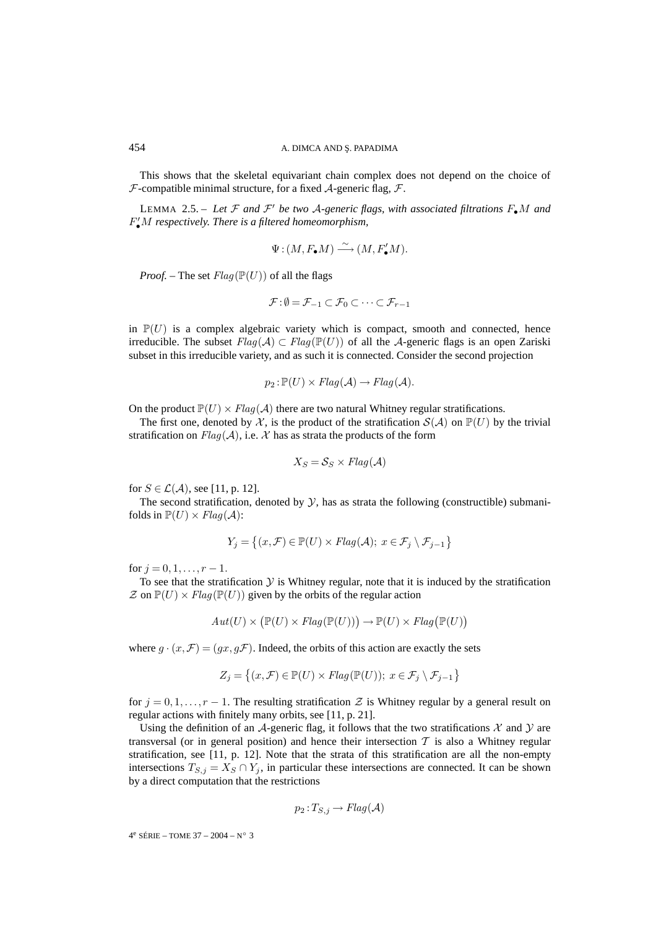This shows that the skeletal equivariant chain complex does not depend on the choice of  $F$ -compatible minimal structure, for a fixed  $A$ -generic flag,  $F$ .

LEMMA 2.5. – Let  $\mathcal F$  and  $\mathcal F'$  be two A-generic flags, with associated filtrations  $F_{\bullet}M$  and F •M *respectively. There is a filtered homeomorphism,*

$$
\Psi : (M, F_{\bullet}M) \xrightarrow{\sim} (M, F'_{\bullet}M).
$$

*Proof.* – The set  $Flag(\mathbb{P}(U))$  of all the flags

$$
\mathcal{F} : \emptyset = \mathcal{F}_{-1} \subset \mathcal{F}_0 \subset \cdots \subset \mathcal{F}_{r-1}
$$

in  $\mathbb{P}(U)$  is a complex algebraic variety which is compact, smooth and connected, hence irreducible. The subset  $Flag(\mathcal{A}) \subset Flag(\mathbb{P}(U))$  of all the A-generic flags is an open Zariski subset in this irreducible variety, and as such it is connected. Consider the second projection

$$
p_2: \mathbb{P}(U) \times Flag(\mathcal{A}) \rightarrow Flag(\mathcal{A}).
$$

On the product  $\mathbb{P}(U) \times Flag(\mathcal{A})$  there are two natural Whitney regular stratifications.

The first one, denoted by X, is the product of the stratification  $S(A)$  on  $\mathbb{P}(U)$  by the trivial stratification on  $Flag(A)$ , i.e. X has as strata the products of the form

$$
X_S = \mathcal{S}_S \times Flag(\mathcal{A})
$$

for  $S \in \mathcal{L}(\mathcal{A})$ , see [11, p. 12].

The second stratification, denoted by  $\mathcal{Y}$ , has as strata the following (constructible) submanifolds in  $\mathbb{P}(U) \times Flag(\mathcal{A})$ :

$$
Y_j = \left\{ (x, \mathcal{F}) \in \mathbb{P}(U) \times Flag(\mathcal{A}); \ x \in \mathcal{F}_j \setminus \mathcal{F}_{j-1} \right\}
$$

for  $j = 0, 1, \ldots, r - 1$ .

To see that the stratification  $Y$  is Whitney regular, note that it is induced by the stratification  $\mathcal Z$  on  $\mathbb P(U) \times Flag(\mathbb P(U))$  given by the orbits of the regular action

$$
Aut(U) \times (\mathbb{P}(U) \times Flag(\mathbb{P}(U))) \to \mathbb{P}(U) \times Flag(\mathbb{P}(U))
$$

where  $g \cdot (x, \mathcal{F}) = (gx, g\mathcal{F})$ . Indeed, the orbits of this action are exactly the sets

$$
Z_j = \left\{ (x, \mathcal{F}) \in \mathbb{P}(U) \times \mathit{Flag}(\mathbb{P}(U)); \ x \in \mathcal{F}_j \setminus \mathcal{F}_{j-1} \right\}
$$

for  $j = 0, 1, \ldots, r - 1$ . The resulting stratification Z is Whitney regular by a general result on regular actions with finitely many orbits, see [11, p. 21].

Using the definition of an A-generic flag, it follows that the two stratifications  $\mathcal X$  and  $\mathcal Y$  are transversal (or in general position) and hence their intersection  $T$  is also a Whitney regular stratification, see [11, p. 12]. Note that the strata of this stratification are all the non-empty intersections  $T_{S,j} = X_S \cap Y_j$ , in particular these intersections are connected. It can be shown by a direct computation that the restrictions

$$
p_2: T_{S,j} \to Flag(\mathcal{A})
$$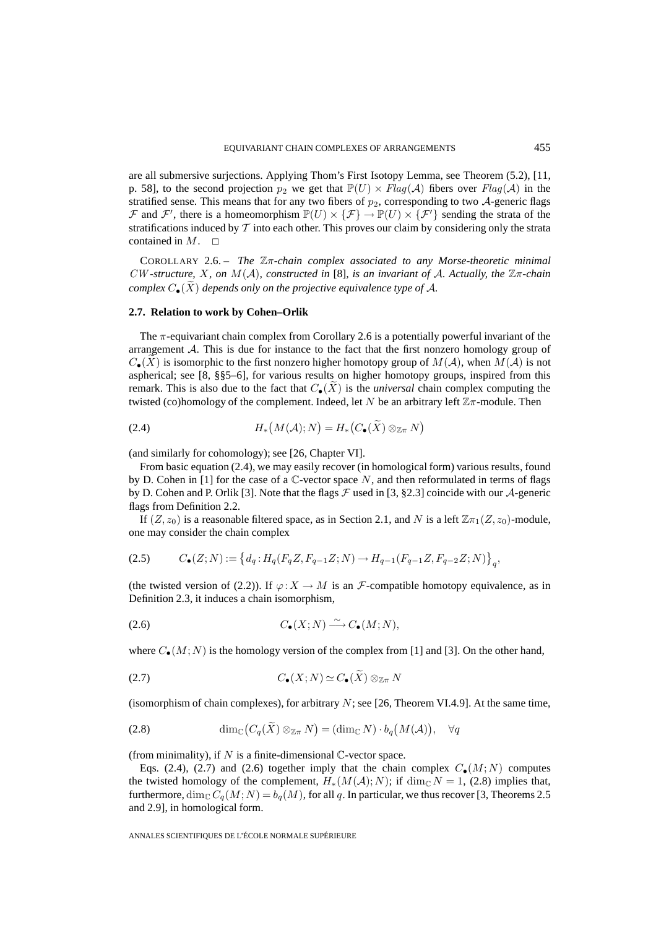are all submersive surjections. Applying Thom's First Isotopy Lemma, see Theorem (5.2), [11, p. 58], to the second projection  $p_2$  we get that  $\mathbb{P}(U) \times Flag(\mathcal{A})$  fibers over  $Flag(\mathcal{A})$  in the stratified sense. This means that for any two fibers of  $p_2$ , corresponding to two  $\mathcal{A}$ -generic flags F and F', there is a homeomorphism  $\mathbb{P}(U) \times {\{\mathcal{F}\}} \to \mathbb{P}(U) \times {\{\mathcal{F}'\}}$  sending the strata of the stratifications induced by  $\mathcal T$  into each other. This proves our claim by considering only the strata contained in  $M$ .  $\square$ 

COROLLARY 2.6. – *The* Zπ*-chain complex associated to any Morse-theoretic minimal* CW *-structure,* X*, on* M(A)*, constructed in* [8]*, is an invariant of* A*. Actually, the* Zπ*-chain complex*  $C_{\bullet}(\widetilde{X})$  *depends only on the projective equivalence type of A.* 

#### **2.7. Relation to work by Cohen–Orlik**

The  $\pi$ -equivariant chain complex from Corollary 2.6 is a potentially powerful invariant of the arrangement  $A$ . This is due for instance to the fact that the first nonzero homology group of  $C_{\bullet}(X)$  is isomorphic to the first nonzero higher homotopy group of  $M(\mathcal{A})$ , when  $M(\mathcal{A})$  is not aspherical; see [8, §§5–6], for various results on higher homotopy groups, inspired from this remark. This is also due to the fact that  $C_{\bullet}(\tilde{X})$  is the *universal* chain complex computing the twisted (co)homology of the complement. Indeed, let N be an arbitrary left  $\mathbb{Z}_{\pi}$ -module. Then

(2.4) 
$$
H_*\big(M(\mathcal{A});N\big)=H_*\big(C_{\bullet}(\widetilde{X})\otimes_{\mathbb{Z}\pi}N\big)
$$

(and similarly for cohomology); see [26, Chapter VI].

From basic equation (2.4), we may easily recover (in homological form) various results, found by D. Cohen in [1] for the case of a  $\mathbb{C}$ -vector space N, and then reformulated in terms of flags by D. Cohen and P. Orlik [3]. Note that the flags  $\mathcal F$  used in [3, §2.3] coincide with our  $\mathcal A$ -generic flags from Definition 2.2.

If  $(Z, z_0)$  is a reasonable filtered space, as in Section 2.1, and N is a left  $\mathbb{Z}_{T_1}(Z, z_0)$ -module, one may consider the chain complex

$$
(2.5) \qquad C_{\bullet}(Z;N) := \left\{ d_q: H_q(F_qZ, F_{q-1}Z;N) \to H_{q-1}(F_{q-1}Z, F_{q-2}Z;N) \right\}_q,
$$

(the twisted version of (2.2)). If  $\varphi: X \to M$  is an F-compatible homotopy equivalence, as in Definition 2.3, it induces a chain isomorphism,

$$
(2.6) \tC_{\bullet}(X;N) \xrightarrow{\sim} C_{\bullet}(M;N),
$$

where  $C_{\bullet}(M; N)$  is the homology version of the complex from [1] and [3]. On the other hand,

$$
(2.7) \tC_{\bullet}(X;N) \simeq C_{\bullet}(\widetilde{X}) \otimes_{\mathbb{Z}\pi} N
$$

(isomorphism of chain complexes), for arbitrary  $N$ ; see [26, Theorem VI.4.9]. At the same time,

(2.8) 
$$
\dim_{\mathbb{C}}(C_q(\widetilde{X}) \otimes_{\mathbb{Z}\pi} N) = (\dim_{\mathbb{C}} N) \cdot b_q(M(\mathcal{A})), \quad \forall q
$$

(from minimality), if N is a finite-dimensional  $\mathbb{C}$ -vector space.

Eqs. (2.4), (2.7) and (2.6) together imply that the chain complex  $C_{\bullet}(M;N)$  computes the twisted homology of the complement,  $H_*(M(\mathcal{A}); N)$ ; if  $\dim_{\mathbb{C}} N = 1$ , (2.8) implies that, furthermore,  $\dim_{\mathbb{C}} C_q(M; N) = b_q(M)$ , for all q. In particular, we thus recover [3, Theorems 2.5 and 2.9], in homological form.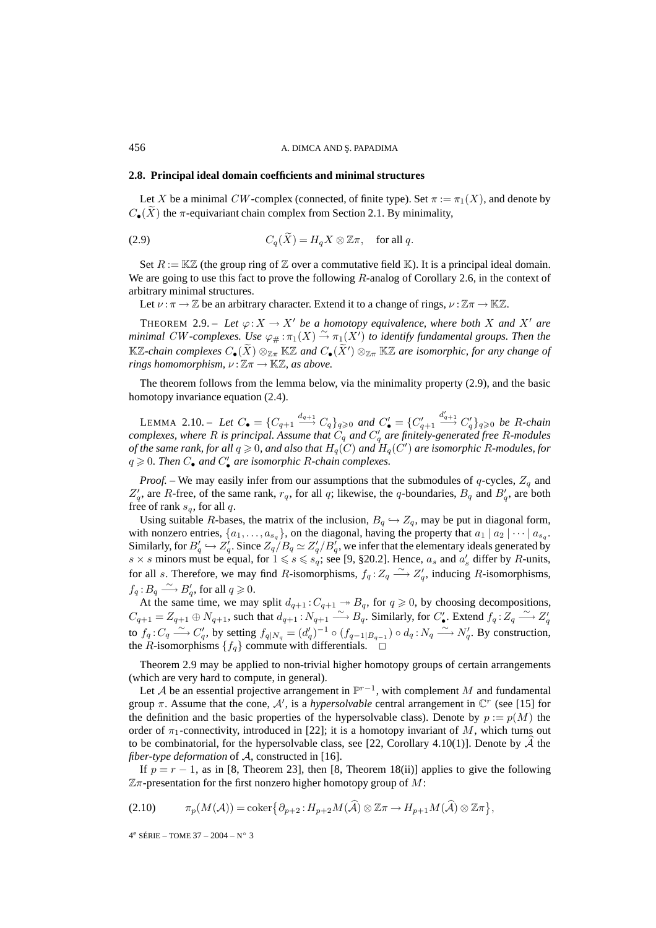## **2.8. Principal ideal domain coefficients and minimal structures**

Let X be a minimal CW-complex (connected, of finite type). Set  $\pi := \pi_1(X)$ , and denote by  $C_{\bullet}(\tilde{X})$  the  $\pi$ -equivariant chain complex from Section 2.1. By minimality,

(2.9) 
$$
C_q(\tilde{X}) = H_q X \otimes \mathbb{Z}\pi, \text{ for all } q.
$$

Set  $R := \mathbb{K}\mathbb{Z}$  (the group ring of  $\mathbb Z$  over a commutative field  $\mathbb K$ ). It is a principal ideal domain. We are going to use this fact to prove the following R-analog of Corollary 2.6, in the context of arbitrary minimal structures.

Let  $\nu : \pi \to \mathbb{Z}$  be an arbitrary character. Extend it to a change of rings,  $\nu : \mathbb{Z}\pi \to \mathbb{K}\mathbb{Z}$ .

THEOREM 2.9. – Let  $\varphi: X \to X'$  be a homotopy equivalence, where both X and X' are minimal CW-complexes. Use  $\varphi_{\#} : \pi_1(X) \stackrel{\sim}{\to} \pi_1(X')$  to identify fundamental groups. Then the  $\mathbb{K}\mathbb{Z}$ -chain complexes  $C_{\bullet}(X) \otimes_{\mathbb{Z}\pi} \mathbb{K}\mathbb{Z}$  and  $C_{\bullet}(X') \otimes_{\mathbb{Z}\pi} \mathbb{K}\mathbb{Z}$  are isomorphic, for any change of *rings homomorphism,*  $\nu : \mathbb{Z}\pi \to \mathbb{K}\mathbb{Z}$ *, as above.* 

The theorem follows from the lemma below, via the minimality property (2.9), and the basic homotopy invariance equation (2.4).

LEMMA 2.10. – Let  $C_{\bullet} = \{C_{q+1} \xrightarrow{d_{q+1}} C_q\}_{q \geq 0}$  and  $C'_{\bullet} = \{C'_{q+1}$  $\stackrel{d'_{q+1}}{\longrightarrow} C'_q$  }<sub>*q*≥0</sub> be R-chain *complexes, where* R *is principal. Assume that* C<sup>q</sup> *and* C <sup>q</sup> *are finitely-generated free* R*-modules of the same rank, for all*  $q\geqslant 0$ *, and also that*  $H_q(C)$  *and*  $H_q(C')$  *are isomorphic R-modules, for*  $q \geqslant 0$ . Then  $C_{\bullet}$  and  $C'_{\bullet}$  are isomorphic R-chain complexes.

*Proof.* – We may easily infer from our assumptions that the submodules of  $q$ -cycles,  $Z_q$  and  $Z'_q$ , are R-free, of the same rank,  $r_q$ , for all q; likewise, the q-boundaries,  $B_q$  and  $B'_q$ , are both free of rank  $s_q$ , for all q.

Using suitable R-bases, the matrix of the inclusion,  $B_q \hookrightarrow Z_q$ , may be put in diagonal form, with nonzero entries,  $\{a_1,\ldots,a_{s_q}\}$ , on the diagonal, having the property that  $a_1 | a_2 | \cdots | a_{s_q}$ . Similarly, for  $B'_q \hookrightarrow Z'_q$ . Since  $Z_q/B_q \simeq Z'_q/B'_q$ , we infer that the elementary ideals generated by  $s \times s$  minors must be equal, for  $1 \le s \le s_q$ ; see [9, §20.2]. Hence,  $a_s$  and  $a'_s$  differ by R-units, for all s. Therefore, we may find R-isomorphisms,  $f_q: Z_q \longrightarrow Z'_q$ , inducing R-isomorphisms,  $f_q: B_q \longrightarrow B'_q$ , for all  $q \geqslant 0$ .

At the same time, we may split  $d_{q+1}: C_{q+1} \rightarrow B_q$ , for  $q \ge 0$ , by choosing decompositions,  $C_{q+1} = Z_{q+1} \oplus N_{q+1}$ , such that  $d_{q+1} : N_{q+1} \longrightarrow B_q$ . Similarly, for  $C'_\bullet$ . Extend  $f_q : Z_q \longrightarrow Z'_q$ to  $f_q: C_q \longrightarrow C'_q$ , by setting  $f_{q|N_q} = (d'_q)^{-1} \circ (f_{q-1|B_{q-1}}) \circ d_q: N_q \longrightarrow N'_q$ . By construction, the *R*-isomorphisms  $\{f_q\}$  commute with differentials.  $\Box$ 

Theorem 2.9 may be applied to non-trivial higher homotopy groups of certain arrangements (which are very hard to compute, in general).

Let A be an essential projective arrangement in  $\mathbb{P}^{r-1}$ , with complement M and fundamental group  $\pi$ . Assume that the cone,  $\mathcal{A}'$ , is a *hypersolvable* central arrangement in  $\mathbb{C}^r$  (see [15] for the definition and the basic properties of the hypersolvable class). Denote by  $p := p(M)$  the order of  $\pi_1$ -connectivity, introduced in [22]; it is a homotopy invariant of M, which turns out to be combinatorial, for the hypersolvable class, see [22, Corollary 4.10(1)]. Denote by  $A$  the *fiber-type deformation* of A, constructed in [16].

If  $p = r - 1$ , as in [8, Theorem 23], then [8, Theorem 18(ii)] applies to give the following  $\mathbb{Z}\pi$ -presentation for the first nonzero higher homotopy group of  $M$ :

$$
(2.10) \qquad \pi_p(M(\mathcal{A})) = \mathrm{coker}\big\{\partial_{p+2} : H_{p+2}M(\widehat{\mathcal{A}}) \otimes \mathbb{Z}\pi \to H_{p+1}M(\widehat{\mathcal{A}}) \otimes \mathbb{Z}\pi\big\},
$$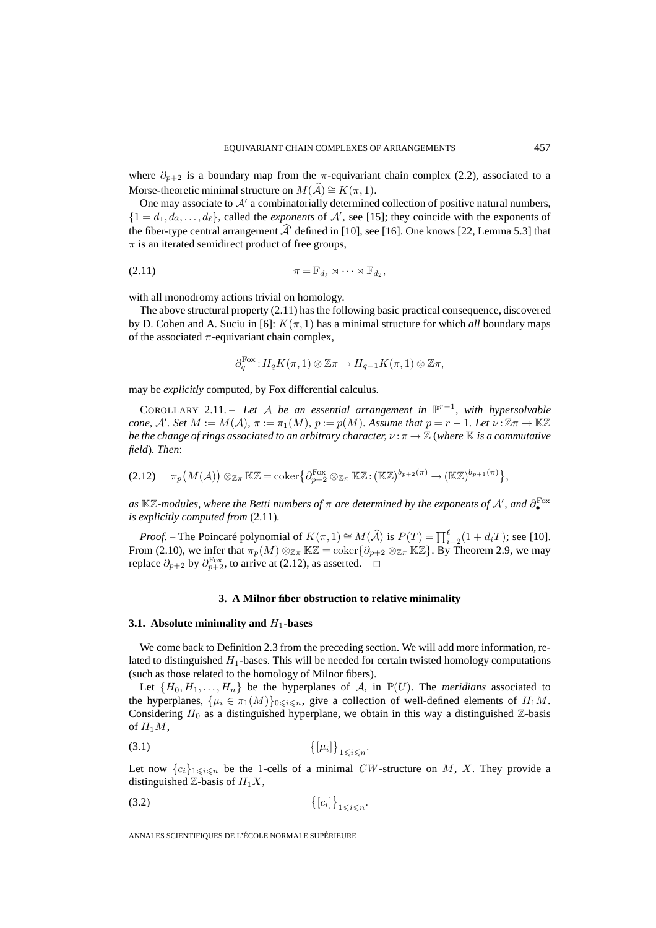where  $\partial_{p+2}$  is a boundary map from the  $\pi$ -equivariant chain complex (2.2), associated to a Morse-theoretic minimal structure on  $M(\widehat{\mathcal{A}}) \cong K(\pi, 1)$ .

One may associate to  $A'$  a combinatorially determined collection of positive natural numbers,  $\{1 = d_1, d_2, \ldots, d_\ell\}$ , called the *exponents* of  $\mathcal{A}'$ , see [15]; they coincide with the exponents of the fiber-type central arrangement  $A'$  defined in [10], see [16]. One knows [22, Lemma 5.3] that  $\pi$  is an iterated semidirect product of free groups,

$$
\pi = \mathbb{F}_{d_{\ell}} \rtimes \cdots \rtimes \mathbb{F}_{d_2},
$$

with all monodromy actions trivial on homology.

The above structural property (2.11) has the following basic practical consequence, discovered by D. Cohen and A. Suciu in [6]:  $K(\pi, 1)$  has a minimal structure for which *all* boundary maps of the associated  $\pi$ -equivariant chain complex,

$$
\partial_q^{\text{Fox}}: H_qK(\pi, 1) \otimes \mathbb{Z}\pi \to H_{q-1}K(\pi, 1) \otimes \mathbb{Z}\pi,
$$

may be *explicitly* computed, by Fox differential calculus.

COROLLARY 2.11. – *Let* A *be an essential arrangement in* P<sup>r</sup>−<sup>1</sup>*, with hypersolvable cone,* A'. Set  $M := M(\mathcal{A})$ ,  $\pi := \pi_1(M)$ ,  $p := p(M)$ . Assume that  $p = r - 1$ . Let  $\nu : \mathbb{Z}\pi \to \mathbb{K}\mathbb{Z}$ *be the change of rings associated to an arbitrary character,*  $ν : π → ℤ$  *(where K is a commutative field*)*. Then*:

$$
(2.12) \quad \pi_p\big(M(\mathcal{A})\big) \otimes_{\mathbb{Z}\pi} \mathbb{K}\mathbb{Z} = \mathrm{coker}\big\{\partial^{\mathrm{Fox}}_{p+2} \otimes_{\mathbb{Z}\pi} \mathbb{K}\mathbb{Z} : (\mathbb{K}\mathbb{Z})^{b_{p+2}(\pi)} \to (\mathbb{K}\mathbb{Z})^{b_{p+1}(\pi)}\big\},
$$

*as* Kℤ-modules, where the Betti numbers of π are determined by the exponents of A', and  $\partial_{\bullet}^{\text{Fox}}$ *is explicitly computed from* (2.11)*.*

*Proof.* – The Poincaré polynomial of  $K(\pi, 1) \cong M(\widehat{A})$  is  $P(T) = \prod_{i=2}^{\ell} (1 + d_i T)$ ; see [10]. From (2.10), we infer that  $\pi_p(M) \otimes_{\mathbb{Z}_p} \mathbb{K}\mathbb{Z} = \mathrm{coker}\{\partial_{p+2} \otimes_{\mathbb{Z}_p} \mathbb{K}\mathbb{Z}\}$ . By Theorem 2.9, we may replace  $\partial_{p+2}$  by  $\partial_{p+2}^{\text{Fox}}$ , to arrive at (2.12), as asserted.  $\Box$ 

## **3. A Milnor fiber obstruction to relative minimality**

## **3.1.** Absolute minimality and  $H_1$ -bases

We come back to Definition 2.3 from the preceding section. We will add more information, related to distinguished  $H_1$ -bases. This will be needed for certain twisted homology computations (such as those related to the homology of Milnor fibers).

Let  $\{H_0, H_1, \ldots, H_n\}$  be the hyperplanes of A, in  $\mathbb{P}(U)$ . The *meridians* associated to the hyperplanes,  $\{\mu_i \in \pi_1(M)\}_{0 \le i \le n}$ , give a collection of well-defined elements of  $H_1M$ . Considering  $H_0$  as a distinguished hyperplane, we obtain in this way a distinguished  $\mathbb{Z}$ -basis of  $H_1M$ ,

$$
\left\{ \left[\mu_{i}\right]\right\} _{1\leqslant i\leqslant n}.
$$

Let now  ${c_i}_{1\leq i \leq n}$  be the 1-cells of a minimal CW-structure on M, X. They provide a distinguished  $\mathbb{Z}$ -basis of  $H_1X$ ,

$$
\{[c_i]\}_{1\leqslant i\leqslant n}.
$$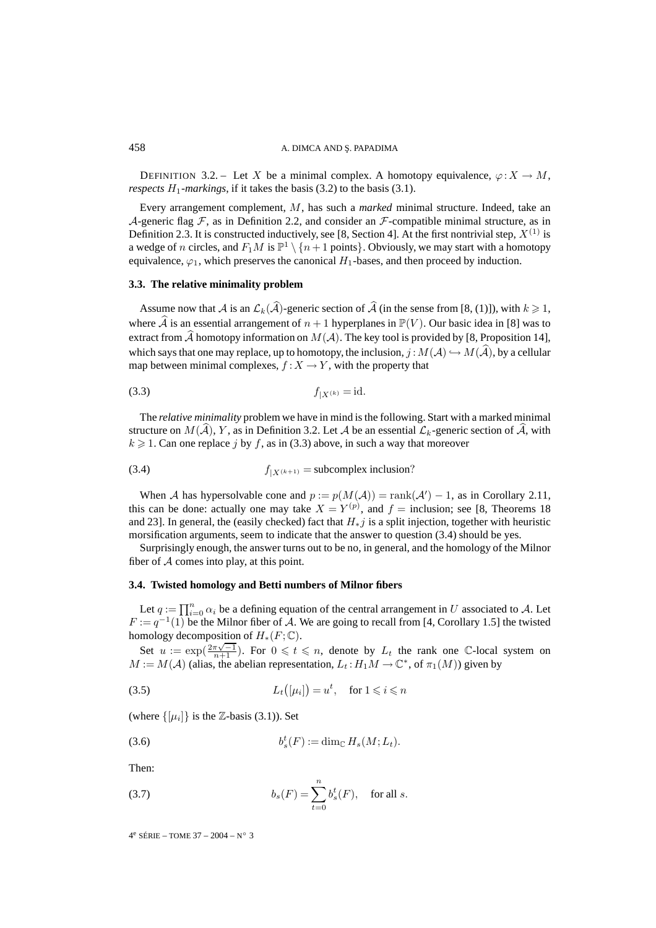DEFINITION 3.2. – Let X be a minimal complex. A homotopy equivalence,  $\varphi: X \to M$ , *respects*  $H_1$ *-markings*, if it takes the basis (3.2) to the basis (3.1).

Every arrangement complement, M, has such a *marked* minimal structure. Indeed, take an A-generic flag  $\mathcal F$ , as in Definition 2.2, and consider an  $\mathcal F$ -compatible minimal structure, as in Definition 2.3. It is constructed inductively, see [8, Section 4]. At the first nontrivial step,  $X^{(1)}$  is a wedge of n circles, and  $F_1M$  is  $\mathbb{P}^1 \setminus \{n+1 \text{ points}\}\.$  Obviously, we may start with a homotopy equivalence,  $\varphi_1$ , which preserves the canonical  $H_1$ -bases, and then proceed by induction.

#### **3.3. The relative minimality problem**

Assume now that A is an  $\mathcal{L}_k(\mathcal{A})$ -generic section of A (in the sense from [8, (1)]), with  $k \geq 1$ , where A is an essential arrangement of  $n + 1$  hyperplanes in  $\mathbb{P}(V)$ . Our basic idea in [8] was to extract from A-homotopy information on  $M(A)$ . The key tool is provided by [8, Proposition 14], which says that one may replace, up to homotopy, the inclusion,  $j : M(A) \hookrightarrow M(A)$ , by a cellular map between minimal complexes,  $f : X \to Y$ , with the property that

(3.3) 
$$
f_{|X^{(k)}} = id.
$$

The *relative minimality* problem we have in mind is the following. Start with a marked minimal structure on  $M(A)$ , Y, as in Definition 3.2. Let A be an essential  $\mathcal{L}_k$ -generic section of A, with  $k \geq 1$ . Can one replace j by f, as in (3.3) above, in such a way that moreover

(3.4) 
$$
f_{|X^{(k+1)}} = \text{subcomplex inclusion?}
$$

When A has hypersolvable cone and  $p := p(M(A)) = \text{rank}(A') - 1$ , as in Corollary 2.11, this can be done: actually one may take  $X = Y^{(p)}$ , and  $f =$  inclusion; see [8, Theorems 18] and 23]. In general, the (easily checked) fact that  $H_*j$  is a split injection, together with heuristic morsification arguments, seem to indicate that the answer to question (3.4) should be yes.

Surprisingly enough, the answer turns out to be no, in general, and the homology of the Milnor fiber of  $A$  comes into play, at this point.

## **3.4. Twisted homology and Betti numbers of Milnor fibers**

Let  $q := \prod_{i=0}^{n} \alpha_i$  be a defining equation of the central arrangement in U associated to A. Let  $F := q^{-1}(1)$  be the Milnor fiber of A. We are going to recall from [4, Corollary 1.5] the twisted homology decomposition of  $H_*(F; \mathbb{C})$ .

Set  $u := \exp(\frac{2\pi\sqrt{-1}}{n+1})$ . For  $0 \le t \le n$ , denote by  $L_t$  the rank one C-local system on  $M := M(\mathcal{A})$  (alias, the abelian representation,  $L_t : H_1M \to \mathbb{C}^*$ , of  $\pi_1(M)$ ) given by

(3.5) 
$$
L_t([\mu_i]) = u^t, \quad \text{for } 1 \leqslant i \leqslant n
$$

(where  $\{[\mu_i]\}\$ is the Z-basis (3.1)). Set

$$
(3.6) \t\t b_s^t(F) := \dim_{\mathbb{C}} H_s(M; L_t).
$$

Then:

(3.7) 
$$
b_s(F) = \sum_{t=0}^{n} b_s^t(F), \text{ for all } s.
$$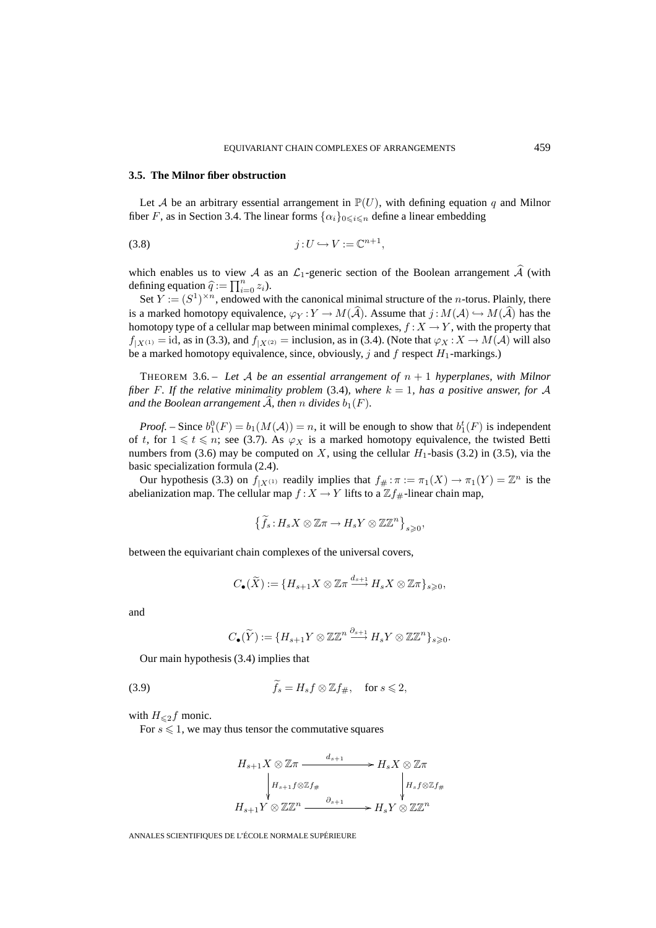## **3.5. The Milnor fiber obstruction**

Let A be an arbitrary essential arrangement in  $\mathbb{P}(U)$ , with defining equation q and Milnor fiber F, as in Section 3.4. The linear forms  $\{\alpha_i\}_{0\leq i\leq n}$  define a linear embedding

$$
(3.8) \t\t j:U\hookrightarrow V:=\mathbb{C}^{n+1},
$$

which enables us to view A as an  $\mathcal{L}_1$ -generic section of the Boolean arrangement A (with defining equation  $\hat{q} := \prod_{i=0}^{n} z_i$ .

Set  $Y := (S^1)^{\times n}$ , endowed with the canonical minimal structure of the *n*-torus. Plainly, there is a marked homotopy equivalence,  $\varphi_Y : Y \to M(\mathcal{A})$ . Assume that  $j : M(\mathcal{A}) \hookrightarrow M(\mathcal{A})$  has the homotopy type of a cellular map between minimal complexes,  $f : X \to Y$ , with the property that  $f_{|X^{(1)}} = \text{id}$ , as in (3.3), and  $f_{|X^{(2)}} = \text{inclusion}$ , as in (3.4). (Note that  $\varphi_X : X \to M(\mathcal{A})$  will also be a marked homotopy equivalence, since, obviously, j and f respect  $H_1$ -markings.)

THEOREM 3.6. – *Let* A *be an essential arrangement of* n + 1 *hyperplanes, with Milnor fiber* F. If the relative minimality problem (3.4), where  $k = 1$ , has a positive answer, for A and the Boolean arrangement  ${\cal A}$ , then  $n$  divides  $b_1(F)$ .

*Proof.* – Since  $b_1^0(F) = b_1(M(A)) = n$ , it will be enough to show that  $b_1^t(F)$  is independent of t, for  $1 \le t \le n$ ; see (3.7). As  $\varphi_X$  is a marked homotopy equivalence, the twisted Betti numbers from (3.6) may be computed on X, using the cellular  $H_1$ -basis (3.2) in (3.5), via the basic specialization formula (2.4).

Our hypothesis (3.3) on  $f_{|X^{(1)}}$  readily implies that  $f_{\#} : \pi := \pi_1(X) \to \pi_1(Y) = \mathbb{Z}^n$  is the abelianization map. The cellular map  $f : X \to Y$  lifts to a  $\mathbb{Z} f_{\#}$ -linear chain map,

$$
\left\{\widetilde{f}_s\colon H_sX\otimes {\mathbb Z}\pi\to H_sY\otimes{\mathbb Z}{\mathbb Z}^n\right\}_{s\geqslant0},
$$

between the equivariant chain complexes of the universal covers,

$$
C_{\bullet}(\widetilde{X}) := \{ H_{s+1}X \otimes \mathbb{Z}\pi \xrightarrow{d_{s+1}} H_sX \otimes \mathbb{Z}\pi \}_{s \geq 0},
$$

and

$$
C_{\bullet}(\widetilde{Y}) := \{ H_{s+1}Y \otimes \mathbb{Z} \mathbb{Z}^n \stackrel{\partial_{s+1}}{\longrightarrow} H_sY \otimes \mathbb{Z} \mathbb{Z}^n \}_{s \geq 0}.
$$

Our main hypothesis (3.4) implies that

(3.9) 
$$
\widetilde{f}_s = H_s f \otimes \mathbb{Z} f_{\#}, \quad \text{for } s \leqslant 2,
$$

with  $H_{\leq 2}f$  monic.

For  $s \leq 1$ , we may thus tensor the commutative squares

$$
H_{s+1}X \otimes \mathbb{Z}\pi \xrightarrow{d_{s+1}} H_sX \otimes \mathbb{Z}\pi
$$
  
\n
$$
\downarrow H_{s+1}f \otimes \mathbb{Z}f_{\#}
$$
  
\n
$$
H_{s+1}Y \otimes \mathbb{Z}\mathbb{Z}^n \xrightarrow{\partial_{s+1}} H_sY \otimes \mathbb{Z}\mathbb{Z}^n
$$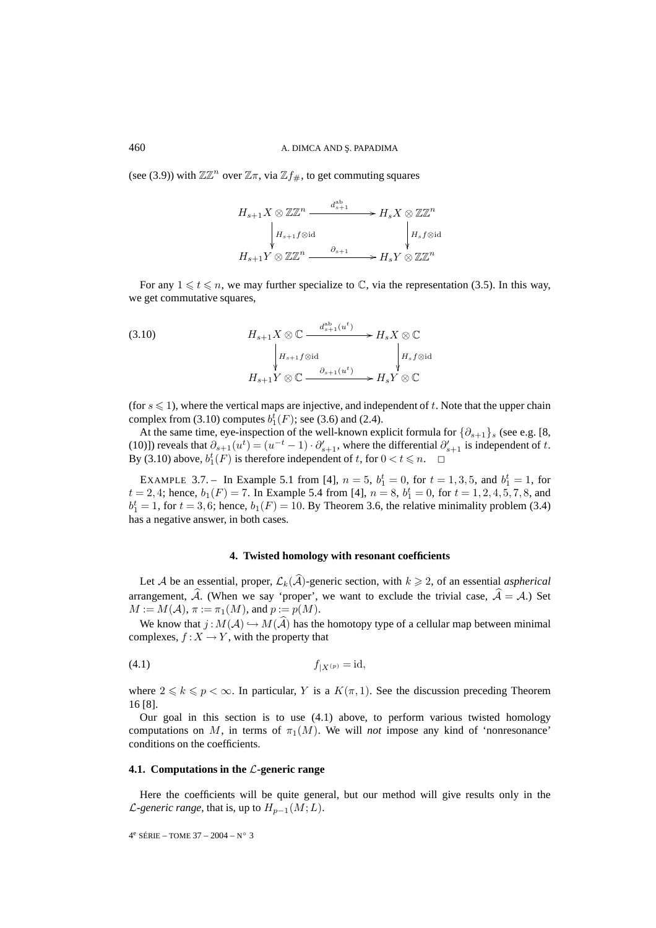(see (3.9)) with  $\mathbb{Z}\mathbb{Z}^n$  over  $\mathbb{Z}\pi$ , via  $\mathbb{Z}f_{\#}$ , to get commuting squares

$$
H_{s+1}X \otimes \mathbb{Z} \mathbb{Z}^n \xrightarrow{d_{s+1}^{ab}} H_sX \otimes \mathbb{Z} \mathbb{Z}^n
$$
  
\n
$$
H_{s+1}f \otimes id \qquad \qquad \downarrow H_s f \otimes id
$$
  
\n
$$
H_{s+1}Y \otimes \mathbb{Z} \mathbb{Z}^n \xrightarrow{\partial_{s+1}} H_sY \otimes \mathbb{Z} \mathbb{Z}^n
$$

For any  $1 \leq t \leq n$ , we may further specialize to  $\mathbb{C}$ , via the representation (3.5). In this way, we get commutative squares,

(3.10) 
$$
H_{s+1}X \otimes \mathbb{C} \xrightarrow{d_{s+1}^{ab}(u^t)} H_sX \otimes \mathbb{C}
$$

$$
\downarrow H_{s+1}f \otimes id \qquad \qquad \downarrow H_s f \otimes id
$$

$$
H_{s+1}Y \otimes \mathbb{C} \xrightarrow{\partial_{s+1}(u^t)} H_sY \otimes \mathbb{C}
$$

(for  $s \leq 1$ ), where the vertical maps are injective, and independent of t. Note that the upper chain complex from (3.10) computes  $b_1^t(F)$ ; see (3.6) and (2.4).

At the same time, eye-inspection of the well-known explicit formula for  $\{\partial_{s+1}\}_s$  (see e.g. [8, (10)]) reveals that  $\partial_{s+1}(u^t) = (u^{-t} - 1) \cdot \partial'_{s+1}$ , where the differential  $\partial'_{s+1}$  is independent of t. By (3.10) above,  $b_1^t(F)$  is therefore independent of t, for  $0 < t \le n$ .  $\Box$ 

EXAMPLE 3.7. – In Example 5.1 from [4],  $n = 5$ ,  $b_1^t = 0$ , for  $t = 1, 3, 5$ , and  $b_1^t = 1$ , for  $t = 2, 4$ ; hence,  $b_1(F) = 7$ . In Example 5.4 from [4],  $n = 8$ ,  $b_1^t = 0$ , for  $t = 1, 2, 4, 5, 7, 8$ , and  $b_1^t = 1$ , for  $t = 3, 6$ ; hence,  $b_1(F) = 10$ . By Theorem 3.6, the relative minimality problem (3.4) has a negative answer, in both cases.

### **4. Twisted homology with resonant coefficients**

Let A be an essential, proper,  $\mathcal{L}_k(\mathcal{A})$ -generic section, with  $k \geq 2$ , of an essential *aspherical* arrangement, A. (When we say 'proper', we want to exclude the trivial case,  $A = A$ .) Set  $M := M(\mathcal{A}), \pi := \pi_1(M), \text{ and } p := p(M).$ 

We know that  $j: M(\mathcal{A}) \hookrightarrow M(\mathcal{A})$  has the homotopy type of a cellular map between minimal complexes,  $f: X \to Y$ , with the property that

$$
f_{|X^{(p)}} = \mathrm{id},
$$

where  $2 \leq k \leq p < \infty$ . In particular, Y is a  $K(\pi, 1)$ . See the discussion preceding Theorem 16 [8].

Our goal in this section is to use (4.1) above, to perform various twisted homology computations on M, in terms of  $\pi_1(M)$ . We will *not* impose any kind of 'nonresonance' conditions on the coefficients.

## **4.1. Computations in the** L**-generic range**

Here the coefficients will be quite general, but our method will give results only in the *L*-generic range, that is, up to  $H_{p-1}(M;L)$ .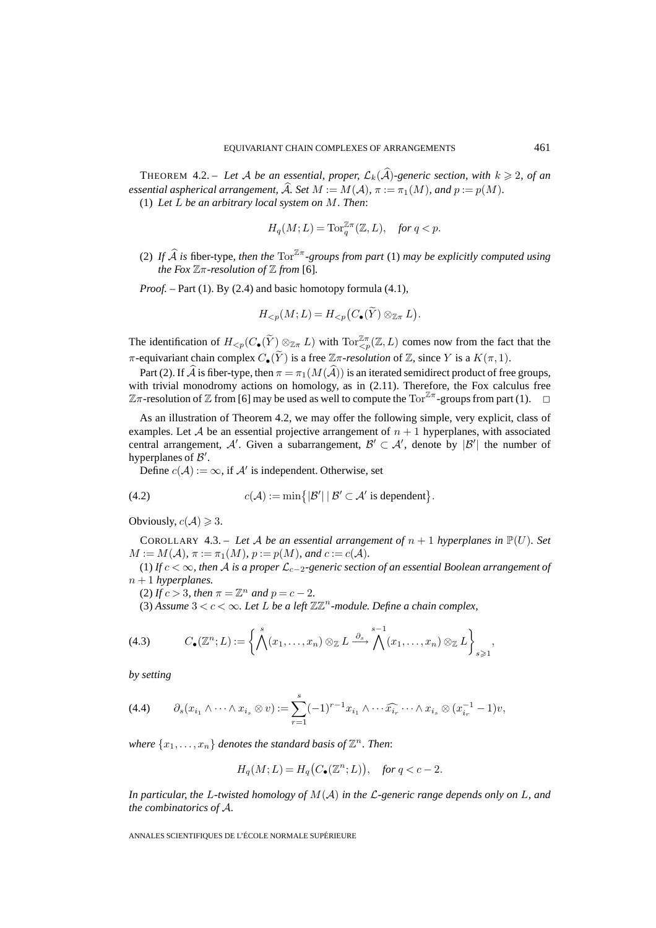THEOREM 4.2. – Let A be an essential, proper,  $\mathcal{L}_k(\mathcal{A})$ -generic section, with  $k \geqslant 2$ , of an *essential aspherical arrangement,* A. Set  $M := M(\mathcal{A})$ ,  $\pi := \pi_1(M)$ , and  $p := p(M)$ .

(1) *Let* L *be an arbitrary local system on* M*. Then*:

$$
H_q(M;L) = \operatorname{Tor}_q^{\mathbb{Z}\pi}(\mathbb{Z},L), \quad \text{for } q < p.
$$

(2) If  $\widehat{A}$  is fiber-type, then the  $\text{Tor}^{\mathbb{Z}\pi}$ -groups from part (1) may be explicitly computed using *the Fox*  $\mathbb{Z}$ *π*-resolution of  $\mathbb{Z}$  *from* [6].

*Proof.* – Part (1). By (2.4) and basic homotopy formula (4.1),

$$
H_{< p}(M; L) = H_{< p}(C_{\bullet}(\widetilde{Y}) \otimes_{\mathbb{Z}\pi} L).
$$

The identification of  $H_{\leq p}(C_{\bullet}(\widetilde{Y})\otimes_{\mathbb{Z}_{\pi}} L)$  with  $\text{Tor}^{\mathbb{Z}_{\pi}}_{\leq p}(\mathbb{Z}, L)$  comes now from the fact that the π-equivariant chain complex C•(Y) is a free Zπ*-resolution* of Z, since Y is a K(π, 1).

Part (2). If A is fiber-type, then  $\pi = \pi_1(M(A))$  is an iterated semidirect product of free groups, with trivial monodromy actions on homology, as in  $(2.11)$ . Therefore, the Fox calculus free  $\mathbb{Z}\pi$ -resolution of  $\mathbb Z$  from [6] may be used as well to compute the Tor<sup> $\mathbb{Z}\pi$ </sup>-groups from part (1).  $\Box$ 

As an illustration of Theorem 4.2, we may offer the following simple, very explicit, class of examples. Let A be an essential projective arrangement of  $n + 1$  hyperplanes, with associated central arrangement, A'. Given a subarrangement,  $\mathcal{B}' \subset \mathcal{A}'$ , denote by  $|\mathcal{B}'|$  the number of hyperplanes of  $\mathcal{B}'$ .

Define  $c(A) := \infty$ , if A' is independent. Otherwise, set

(4.2) 
$$
c(\mathcal{A}) := \min\{|\mathcal{B}'| \, | \, \mathcal{B}' \subset \mathcal{A}' \text{ is dependent}\}.
$$

Obviously,  $c(A) \geq 3$ .

COROLLARY 4.3. – Let A be an essential arrangement of  $n + 1$  hyperplanes in  $\mathbb{P}(U)$ . Set  $M := M(\mathcal{A}), \pi := \pi_1(M), p := p(M)$ *, and*  $c := c(\mathcal{A}).$ 

(1) *If* c < ∞*, then* A *is a proper* L<sup>c</sup>−<sup>2</sup>*-generic section of an essential Boolean arrangement of*  $n + 1$  *hyperplanes.* 

(2) *If*  $c > 3$ *, then*  $\pi = \mathbb{Z}^n$  *and*  $p = c - 2$ *.* 

(3) Assume  $3 < c < \infty$ . Let L be a left  $\mathbb{Z} \mathbb{Z}^n$ -module. Define a chain complex,

(4.3) 
$$
C_{\bullet}(\mathbb{Z}^n;L):=\left\{\bigwedge^s(x_1,\ldots,x_n)\otimes_{\mathbb{Z}}L\stackrel{\partial_s}{\longrightarrow}\bigwedge^{s-1}(x_1,\ldots,x_n)\otimes_{\mathbb{Z}}L\right\}_{s\geqslant 1},
$$

*by setting*

$$
(4.4) \qquad \partial_s(x_{i_1}\wedge\cdots\wedge x_{i_s}\otimes v):=\sum_{r=1}^s(-1)^{r-1}x_{i_1}\wedge\cdots\widehat{x_{i_r}}\cdots\wedge x_{i_s}\otimes (x_{i_r}^{-1}-1)v,
$$

*where*  $\{x_1, \ldots, x_n\}$  *denotes the standard basis of*  $\mathbb{Z}^n$ *. Then:* 

$$
H_q(M;L) = H_q(C_{\bullet}(\mathbb{Z}^n;L)), \quad \text{for } q < c - 2.
$$

*In particular, the* L*-twisted homology of* M(A) *in the* L*-generic range depends only on* L*, and the combinatorics of* A*.*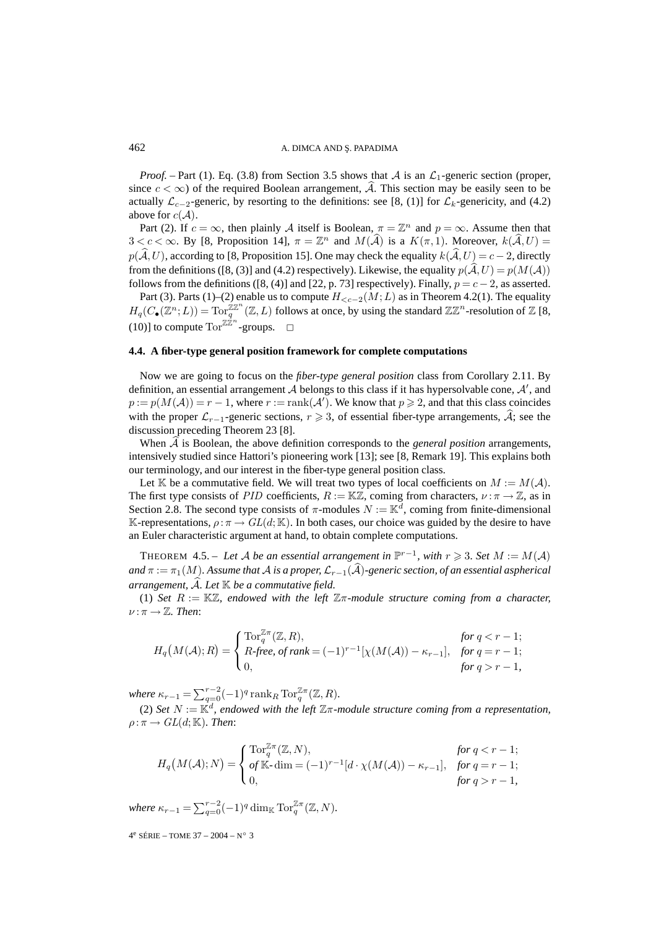*Proof.* – Part (1). Eq. (3.8) from Section 3.5 shows that A is an  $\mathcal{L}_1$ -generic section (proper, since  $c < \infty$ ) of the required Boolean arrangement, A. This section may be easily seen to be actually  $\mathcal{L}_{c-2}$ -generic, by resorting to the definitions: see [8, (1)] for  $\mathcal{L}_{k}$ -genericity, and (4.2) above for  $c(\mathcal{A})$ .

Part (2). If  $c = \infty$ , then plainly A itself is Boolean,  $\pi = \mathbb{Z}^n$  and  $p = \infty$ . Assume then that  $3 < c < \infty$ . By [8, Proposition 14],  $\pi = \mathbb{Z}^n$  and  $M(\hat{\mathcal{A}})$  is a  $K(\pi, 1)$ . Moreover,  $k(\hat{\mathcal{A}}, U) =$  $p(A, U)$ , according to [8, Proposition 15]. One may check the equality  $k(A, U) = c - 2$ , directly from the definitions ([8, (3)] and (4.2) respectively). Likewise, the equality  $p(A, U) = p(M(A))$ follows from the definitions ([8, (4)] and [22, p. 73] respectively). Finally,  $p = c - 2$ , as asserted.

Part (3). Parts (1)–(2) enable us to compute  $H_{< c-2}(M;L)$  as in Theorem 4.2(1). The equality  $H_q(C_\bullet(\mathbb{Z}^n;L)) = \text{Tor}_q^{\mathbb{Z} \mathbb{Z}^n}(\mathbb{Z},L)$  follows at once, by using the standard  $\mathbb{Z} \mathbb{Z}^n$ -resolution of  $\mathbb{Z}$  [8, (10)] to compute  $\text{Tor}^{\mathbb{Z}\hat{\mathbb{Z}}^n}$ -groups.  $\Box$ 

#### **4.4. A fiber-type general position framework for complete computations**

Now we are going to focus on the *fiber-type general position* class from Corollary 2.11. By definition, an essential arrangement  $A$  belongs to this class if it has hypersolvable cone,  $A'$ , and  $p := p(M(A)) = r - 1$ , where  $r := \text{rank}(A')$ . We know that  $p \geq 2$ , and that this class coincides with the proper  $\mathcal{L}_{r-1}$ -generic sections,  $r \geq 3$ , of essential fiber-type arrangements,  $\mathcal{A}$ ; see the discussion preceding Theorem 23 [8].

When  $A$  is Boolean, the above definition corresponds to the *general position* arrangements, intensively studied since Hattori's pioneering work [13]; see [8, Remark 19]. This explains both our terminology, and our interest in the fiber-type general position class.

Let K be a commutative field. We will treat two types of local coefficients on  $M := M(\mathcal{A})$ . The first type consists of PID coefficients,  $R := \mathbb{K}\mathbb{Z}$ , coming from characters,  $\nu : \pi \to \mathbb{Z}$ , as in Section 2.8. The second type consists of  $\pi$ -modules  $N := \mathbb{K}^d$ , coming from finite-dimensional K-representations,  $\rho : \pi \to GL(d;\mathbb{K})$ . In both cases, our choice was guided by the desire to have an Euler characteristic argument at hand, to obtain complete computations.

THEOREM 4.5. – Let A be an essential arrangement in  $\mathbb{P}^{r-1}$ , with  $r \geq 3$ . Set  $M := M(\mathcal{A})$ and  $\pi := \pi_1(M)$ . Assume that  ${\mathcal A}$  is a proper,  ${\mathcal L}_{r-1}({\mathcal A})$ -generic section, of an essential aspherical *arrangement,* A-*. Let* K *be a commutative field.*

(1) *Set* R := KZ*, endowed with the left* Zπ*-module structure coming from a character,*  $\nu : \pi \to \mathbb{Z}$ . Then:

$$
H_q(M(\mathcal{A}); R) = \begin{cases} \text{Tor}_q^{\mathbb{Z}\pi}(\mathbb{Z}, R), & \text{for } q < r - 1; \\ R \text{-}free, \text{ of } rank = (-1)^{r-1}[\chi(M(\mathcal{A})) - \kappa_{r-1}], & \text{for } q = r - 1; \\ 0, & \text{for } q > r - 1, \end{cases}
$$

*where*  $\kappa_{r-1} = \sum_{q=0}^{r-2} (-1)^q \operatorname{rank}_R \operatorname{Tor}_q^{\mathbb{Z}\pi}(\mathbb{Z}, R)$ .

(2) *Set*  $N := \mathbb{K}^d$ , endowed with the left  $\mathbb{Z}\pi$ -module structure coming from a representation,  $\rho : \pi \to GL(d;\mathbb{K})$ *. Then:* 

$$
H_q(M(\mathcal{A});N) = \begin{cases} \text{Tor}_q^{\mathbb{Z}\pi}(\mathbb{Z},N), & \text{for } q < r - 1; \\ \text{of } \mathbb{K}\text{-dim} = (-1)^{r-1}[d\cdot\chi(M(\mathcal{A})) - \kappa_{r-1}], & \text{for } q = r - 1; \\ 0, & \text{for } q > r - 1, \end{cases}
$$

*where*  $\kappa_{r-1} = \sum_{q=0}^{r-2} (-1)^q \dim_{\mathbb{K}} \operatorname{Tor}_q^{\mathbb{Z}\pi}(\mathbb{Z}, N)$ .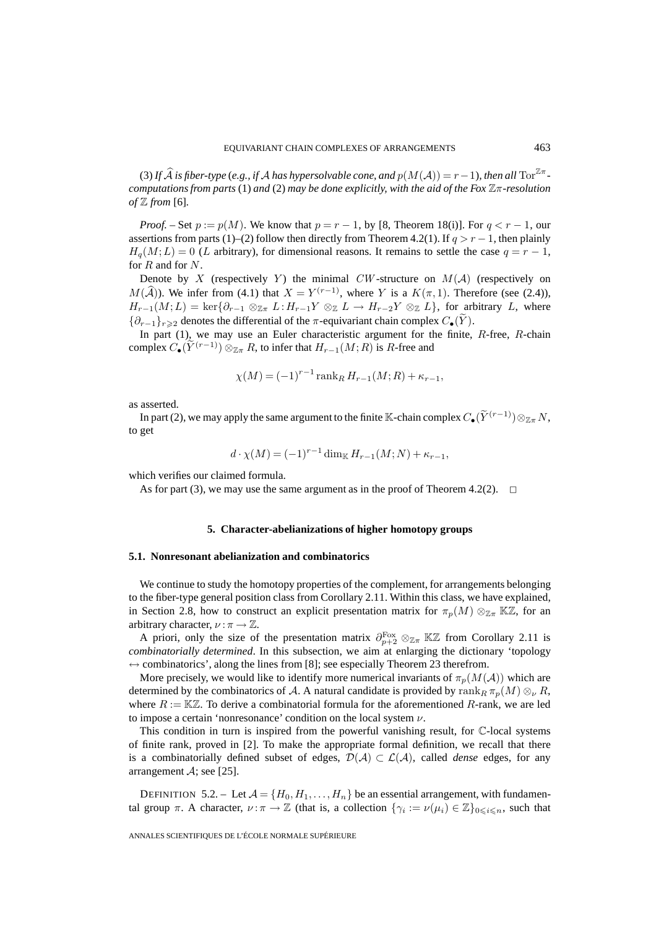(3) If  $\widehat{\mathcal{A}}$  is fiber-type (e.g., if  $\mathcal{A}$  has hypersolvable cone, and  $p(M(\mathcal{A})) = r - 1$ ), then all  $\text{Tor}^{\mathbb{Z}\pi}$ *computations from parts* (1) *and* (2) *may be done explicitly, with the aid of the Fox*  $\mathbb{Z}$  $\pi$ -resolution *of* Z *from* [6]*.*

*Proof.* – Set  $p := p(M)$ . We know that  $p = r - 1$ , by [8, Theorem 18(i)]. For  $q < r - 1$ , our assertions from parts (1)–(2) follow then directly from Theorem 4.2(1). If  $q>r-1$ , then plainly  $H_q(M;L)=0$  (L arbitrary), for dimensional reasons. It remains to settle the case  $q = r - 1$ , for  $R$  and for  $N$ .

Denote by X (respectively Y) the minimal CW-structure on  $M(A)$  (respectively on  $M(\widehat{\mathcal{A}})$ ). We infer from (4.1) that  $X = Y^{(r-1)}$ , where Y is a  $K(\pi, 1)$ . Therefore (see (2.4)),  $H_{r-1}(M;L) = \ker\{\partial_{r-1} \otimes_{\mathbb{Z}_T} L: H_{r-1}Y \otimes_{\mathbb{Z}} L \to H_{r-2}Y \otimes_{\mathbb{Z}} L\}$ , for arbitrary L, where { $∂_{r-1}$ }<sub>r≥2</sub> denotes the differential of the π-equivariant chain complex  $C_{\bullet}(Y)$ .

In part (1), we may use an Euler characteristic argument for the finite,  $R$ -free,  $R$ -chain complex  $C_{\bullet}(\widetilde{Y}^{(r-1)}) \otimes_{\mathbb{Z}_{\pi}} R$ , to infer that  $H_{r-1}(M;R)$  is R-free and

$$
\chi(M) = (-1)^{r-1} \operatorname{rank}_R H_{r-1}(M;R) + \kappa_{r-1},
$$

as asserted.

In part (2), we may apply the same argument to the finite K-chain complex  $C_{\bullet}(\tilde{Y}^{(r-1)})\otimes_{\mathbb{Z}_{\pi}} N$ , to get

$$
d \cdot \chi(M) = (-1)^{r-1} \dim_{\mathbb{K}} H_{r-1}(M;N) + \kappa_{r-1},
$$

which verifies our claimed formula.

As for part (3), we may use the same argument as in the proof of Theorem 4.2(2).  $\Box$ 

## **5. Character-abelianizations of higher homotopy groups**

## **5.1. Nonresonant abelianization and combinatorics**

We continue to study the homotopy properties of the complement, for arrangements belonging to the fiber-type general position class from Corollary 2.11. Within this class, we have explained, in Section 2.8, how to construct an explicit presentation matrix for  $\pi_p(M) \otimes_{\mathbb{Z}_T} K\mathbb{Z}$ , for an arbitrary character,  $\nu : \pi \to \mathbb{Z}$ .

A priori, only the size of the presentation matrix  $\partial_{p+2}^{\text{Fox}} \otimes_{\mathbb{Z}} K\mathbb{Z}$  from Corollary 2.11 is *combinatorially determined*. In this subsection, we aim at enlarging the dictionary 'topology  $\leftrightarrow$  combinatorics', along the lines from [8]; see especially Theorem 23 therefrom.

More precisely, we would like to identify more numerical invariants of  $\pi_p(M(\mathcal{A}))$  which are determined by the combinatorics of A. A natural candidate is provided by  $\operatorname{rank}_R \pi_p(M) \otimes_{\nu} R$ , where  $R := \mathbb{K} \mathbb{Z}$ . To derive a combinatorial formula for the aforementioned R-rank, we are led to impose a certain 'nonresonance' condition on the local system  $\nu$ .

This condition in turn is inspired from the powerful vanishing result, for C-local systems of finite rank, proved in [2]. To make the appropriate formal definition, we recall that there is a combinatorially defined subset of edges,  $\mathcal{D}(\mathcal{A}) \subset \mathcal{L}(\mathcal{A})$ , called *dense* edges, for any arrangement  $\mathcal{A}$ ; see [25].

DEFINITION 5.2. – Let  $A = \{H_0, H_1, \ldots, H_n\}$  be an essential arrangement, with fundamental group  $\pi$ . A character,  $\nu : \pi \to \mathbb{Z}$  (that is, a collection  $\{\gamma_i := \nu(\mu_i) \in \mathbb{Z}\}_{0 \leq i \leq n}$ , such that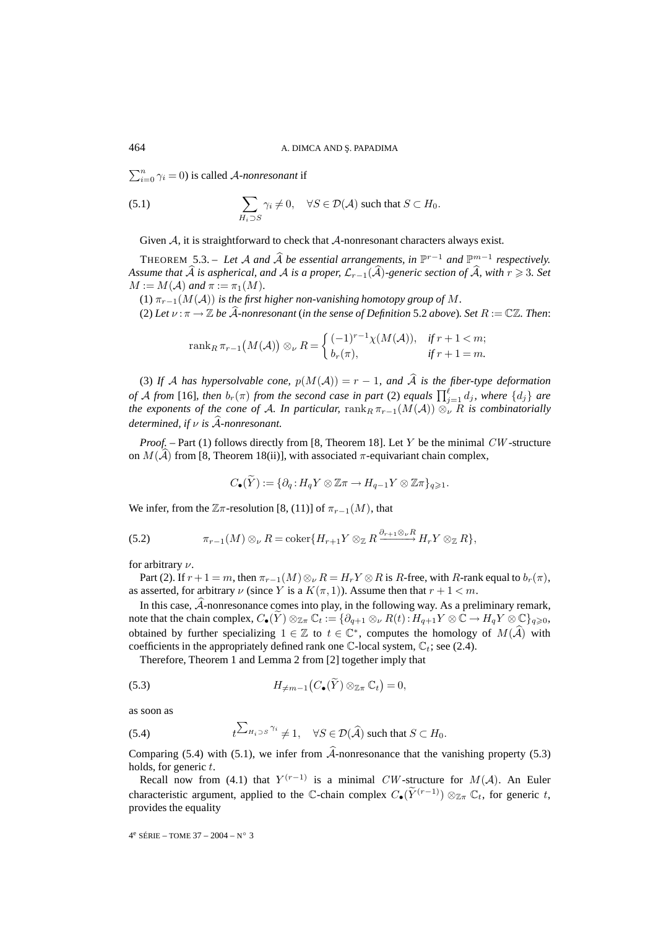$\sum_{i=0}^{n} \gamma_i = 0$ ) is called *A-nonresonant* if

(5.1) 
$$
\sum_{H_i \supset S} \gamma_i \neq 0, \quad \forall S \in \mathcal{D}(\mathcal{A}) \text{ such that } S \subset H_0.
$$

Given  $\mathcal{A}$ , it is straightforward to check that  $\mathcal{A}$ -nonresonant characters always exist.

THEOREM 5.3. – Let A and  $\widehat{A}$  be essential arrangements, in  $\mathbb{P}^{r-1}$  and  $\mathbb{P}^{m-1}$  respectively. *Assume that*  $A$  *is aspherical, and*  $A$  *is a proper,*  $\mathcal{L}_{r-1}(A)$ -generic section of  $A$ , with  $r \geq 3$ . Set  $M := M(\mathcal{A})$  and  $\pi := \pi_1(M)$ .

(1)  $\pi_{r-1}(M(\mathcal{A}))$  *is the first higher non-vanishing homotopy group of* M.

(2) Let  $\nu : \pi \to \mathbb{Z}$  be A-nonresonant (in the sense of Definition 5.2 above). Set  $R := \mathbb{C}\mathbb{Z}$ . Then:

$$
\operatorname{rank}_{R} \pi_{r-1}(M(\mathcal{A})) \otimes_{\nu} R = \begin{cases} (-1)^{r-1} \chi(M(\mathcal{A})), & \text{if } r+1 < m; \\ b_r(\pi), & \text{if } r+1 = m. \end{cases}
$$

(3) If  $A$  has hypersolvable cone,  $p(M(A)) = r - 1$ , and  $A$  is the fiber-type deformation *of* A from [16], then  $b_r(\pi)$  from the second case in part (2) equals  $\prod_{j=1}^{\ell} d_j$ , where  $\{d_j\}$  are *the exponents of the cone of A. In particular,*  $\text{rank}_R \pi_{r-1}(M(\mathcal{A})) \otimes_{\nu}^{\cdot} R$  *is combinatorially determined, if* ν *is* A-*-nonresonant.*

*Proof.* – Part (1) follows directly from [8, Theorem 18]. Let Y be the minimal CW-structure on  $M(A)$  from [8, Theorem 18(ii)], with associated  $\pi$ -equivariant chain complex,

$$
C_{\bullet}(\widetilde{Y}) := \{ \partial_q : H_q Y \otimes \mathbb{Z} \pi \to H_{q-1} Y \otimes \mathbb{Z} \pi \}_{q \geq 1}.
$$

We infer, from the  $\mathbb{Z}$ π-resolution [8, (11)] of  $\pi_{r-1}(M)$ , that

(5.2) 
$$
\pi_{r-1}(M) \otimes_{\nu} R = \operatorname{coker}\{H_{r+1}Y \otimes_{\mathbb{Z}} R \xrightarrow{\partial_{r+1} \otimes_{\nu} R} H_r Y \otimes_{\mathbb{Z}} R\},
$$

for arbitrary ν.

Part (2). If  $r + 1 = m$ , then  $\pi_{r-1}(M) \otimes_{\nu} R = H_r Y \otimes R$  is R-free, with R-rank equal to  $b_r(\pi)$ , as asserted, for arbitrary  $\nu$  (since Y is a  $K(\pi, 1)$ ). Assume then that  $r + 1 < m$ .

In this case,  $A$ -nonresonance comes into play, in the following way. As a preliminary remark, note that the chain complex,  $C_{\bullet}(Y) \otimes_{\mathbb{Z}_{\pi}} \mathbb{C}_t := \{ \partial_{q+1} \otimes_{\nu} R(t) : H_{q+1}Y \otimes \mathbb{C} \to H_qY \otimes \mathbb{C} \}_{q \geq 0},$ obtained by further specializing  $1 \in \mathbb{Z}$  to  $t \in \mathbb{C}^*$ , computes the homology of  $M(\mathcal{A})$  with coefficients in the appropriately defined rank one  $\mathbb{C}$ -local system,  $\mathbb{C}_t$ ; see (2.4).

Therefore, Theorem 1 and Lemma 2 from [2] together imply that

(5.3) 
$$
H_{\neq m-1}\big(C_{\bullet}(\widetilde{Y})\otimes_{\mathbb{Z}\pi}\mathbb{C}_t\big)=0,
$$

as soon as

(5.4) 
$$
t^{\sum_{H_i\supset S} \gamma_i} \neq 1, \quad \forall S \in \mathcal{D}(\widehat{\mathcal{A}}) \text{ such that } S \subset H_0.
$$

Comparing  $(5.4)$  with  $(5.1)$ , we infer from A-nonresonance that the vanishing property  $(5.3)$ holds, for generic  $t$ .

Recall now from (4.1) that  $Y^{(r-1)}$  is a minimal CW-structure for  $M(A)$ . An Euler characteristic argument, applied to the C-chain complex  $C_{\bullet}(\widetilde{Y}^{(r-1)}) \otimes_{\mathbb{Z}_{\pi}} \mathbb{C}_t$ , for generic t, provides the equality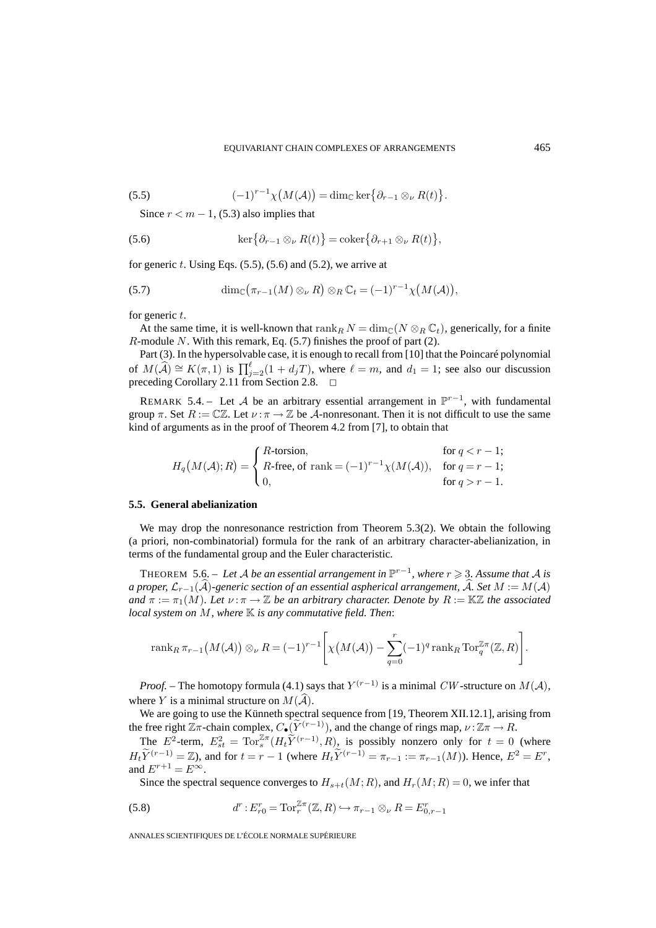(5.5) 
$$
(-1)^{r-1}\chi\big(M(\mathcal{A})\big)=\dim_{\mathbb{C}}\ker\big\{\partial_{r-1}\otimes_{\nu}R(t)\big\}.
$$

Since  $r < m - 1$ , (5.3) also implies that

(5.6) 
$$
\ker\{\partial_{r-1}\otimes_\nu R(t)\}=\operatorname{coker}\{\partial_{r+1}\otimes_\nu R(t)\},\
$$

for generic  $t$ . Using Eqs.  $(5.5)$ ,  $(5.6)$  and  $(5.2)$ , we arrive at

(5.7) 
$$
\dim_{\mathbb{C}}(\pi_{r-1}(M)\otimes_{\nu}R)\otimes_{R}\mathbb{C}_{t}=(-1)^{r-1}\chi(M(\mathcal{A})),
$$

for generic  $t$ .

At the same time, it is well-known that  $\operatorname{rank}_RN = \dim_{\mathbb{C}}(N \otimes_R \mathbb{C}_t)$ , generically, for a finite  $R$ -module N. With this remark, Eq. (5.7) finishes the proof of part (2).

Part (3). In the hypersolvable case, it is enough to recall from [10] that the Poincaré polynomial of  $M(\widehat{\mathcal{A}}) \cong K(\pi,1)$  is  $\prod_{j=2}^{\ell} (1+d_jT)$ , where  $\ell=m$ , and  $d_1=1$ ; see also our discussion preceding Corollary 2.11 from Section 2.8.  $\Box$ 

REMARK 5.4. – Let A be an arbitrary essential arrangement in  $\mathbb{P}^{r-1}$ , with fundamental group  $\pi$ . Set  $R := \mathbb{C}\mathbb{Z}$ . Let  $\nu : \pi \to \mathbb{Z}$  be A-nonresonant. Then it is not difficult to use the same kind of arguments as in the proof of Theorem 4.2 from [7], to obtain that

$$
H_q\big(M(\mathcal{A});R\big)=\left\{\begin{array}{ll} R\text{-torsion},&\text{for }q< r-1;\\ R\text{-free, of rank}=(-1)^{r-1}\chi(M(\mathcal{A})),&\text{for }q=r-1;\\ 0,&\text{for }q> r-1.\end{array}\right.
$$

#### **5.5. General abelianization**

We may drop the nonresonance restriction from Theorem 5.3(2). We obtain the following (a priori, non-combinatorial) formula for the rank of an arbitrary character-abelianization, in terms of the fundamental group and the Euler characteristic.

THEOREM 5.6. – Let A be an essential arrangement in  $\mathbb{P}^{r-1}$ , where  $r \geq 3$ . Assume that A is *a proper, L*<sub>r−1</sub>(A)-generic section of an essential aspherical arrangement, A. Set  $M := M(A)$ *and*  $\pi := \pi_1(M)$ *. Let*  $\nu : \pi \to \mathbb{Z}$  *be an arbitrary character. Denote by*  $R := \mathbb{K} \mathbb{Z}$  *the associated local system on* M, where  $\mathbb K$  *is any commutative field. Then:* 

$$
\operatorname{rank}_{R} \pi_{r-1}(M(\mathcal{A})) \otimes_{\nu} R = (-1)^{r-1} \left[ \chi\big(M(\mathcal{A})\big) - \sum_{q=0}^{r} (-1)^{q} \operatorname{rank}_{R} \operatorname{Tor}_{q}^{\mathbb{Z}\pi}(\mathbb{Z}, R) \right].
$$

*Proof.* – The homotopy formula (4.1) says that  $Y^{(r-1)}$  is a minimal CW-structure on  $M(A)$ , where Y is a minimal structure on  $M(A)$ .

We are going to use the Künneth spectral sequence from [19, Theorem XII.12.1], arising from the free right  $\mathbb{Z}\pi$ -chain complex,  $C_{\bullet}(\widetilde{Y}^{(r-1)})$ , and the change of rings map,  $\nu : \mathbb{Z}\pi \to R$ .

The  $E^2$ -term,  $E_{st}^2 = \text{Tor}_s^{\mathbb{Z}\pi}(H_t\tilde{Y}^{(r-1)}, R)$ , is possibly nonzero only for  $t = 0$  (where  $H_t\tilde{Y}^{(r-1)} = \mathbb{Z}$ ), and for  $t = r - 1$  (where  $H_t\tilde{Y}^{(r-1)} = \pi_{r-1} := \pi_{r-1}(M)$ ). Hence,  $E^2 = E^r$ , and  $E^{r+1} = E^{\infty}$ .

Since the spectral sequence converges to  $H_{s+t}(M;R)$ , and  $H_r(M;R)=0$ , we infer that

(5.8) 
$$
d^r: E^r_{r0} = \text{Tor}_r^{\mathbb{Z}\pi}(\mathbb{Z}, R) \hookrightarrow \pi_{r-1} \otimes_{\nu} R = E^r_{0,r-1}
$$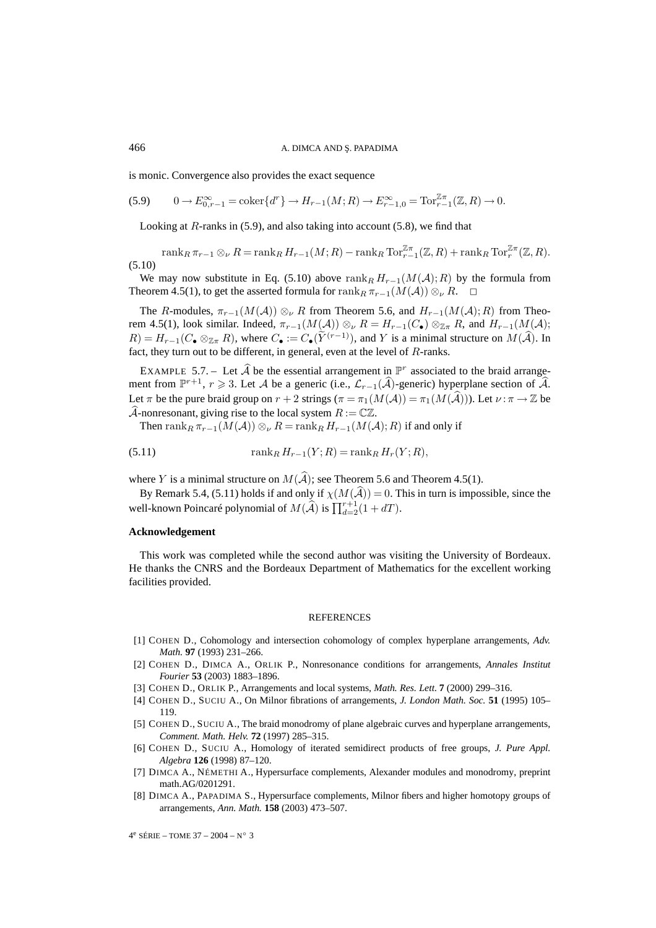is monic. Convergence also provides the exact sequence

$$
(5.9) \qquad 0 \to E_{0,r-1}^{\infty} = \text{coker}\{d^r\} \to H_{r-1}(M;R) \to E_{r-1,0}^{\infty} = \text{Tor}_{r-1}^{\mathbb{Z}\pi}(\mathbb{Z},R) \to 0.
$$

Looking at  $R$ -ranks in (5.9), and also taking into account (5.8), we find that

 $\operatorname{rank}_R \pi_{r-1} \otimes_{\nu} R = \operatorname{rank}_R H_{r-1}(M;R) - \operatorname{rank}_R \operatorname{Tor}_{r-1}^{\mathbb{Z}\pi}(\mathbb{Z},R) + \operatorname{rank}_R \operatorname{Tor}_r^{\mathbb{Z}\pi}(\mathbb{Z},R).$ (5.10)

We may now substitute in Eq. (5.10) above rank  $RH_{r-1}(M(\mathcal{A});R)$  by the formula from Theorem 4.5(1), to get the asserted formula for  $\operatorname{rank}_R \pi_{r-1}(M(\mathcal{A})) \otimes_{\nu} R$ .  $\Box$ 

The R-modules,  $\pi_{r-1}(M(\mathcal{A})) \otimes_{\nu} R$  from Theorem 5.6, and  $H_{r-1}(M(\mathcal{A});R)$  from Theorem 4.5(1), look similar. Indeed,  $\pi_{r-1}(M(\mathcal{A})) \otimes_{\nu} R = H_{r-1}(C_{\bullet}) \otimes_{\mathbb{Z}_R} R$ , and  $H_{r-1}(M(\mathcal{A}))$ ;  $R) = H_{r-1}(C_{\bullet} \otimes_{\mathbb{Z}_T} R)$ , where  $C_{\bullet} := C_{\bullet}(\tilde{Y}^{(r-1)})$ , and Y is a minimal structure on  $M(\tilde{A})$ . In fact, they turn out to be different, in general, even at the level of R-ranks.

EXAMPLE 5.7. – Let  $\widehat{A}$  be the essential arrangement in  $\mathbb{P}^r$  associated to the braid arrangement from  $\mathbb{P}^{r+1}$ ,  $r \ge 3$ . Let A be a generic (i.e.,  $\mathcal{L}_{r-1}(\widehat{A})$ -generic) hyperplane section of  $\widehat{A}$ . Let  $\pi$  be the pure braid group on  $r + 2$  strings  $(\pi = \pi_1(M(\mathcal{A})) = \pi_1(M(\mathcal{A})))$ . Let  $\nu : \pi \to \mathbb{Z}$  be A-nonresonant, giving rise to the local system  $R := \mathbb{C}\mathbb{Z}$ .

Then rank<sub>R</sub>  $\pi_{r-1}(M(\mathcal{A})) \otimes_{\nu} R = \text{rank}_{R} H_{r-1}(M(\mathcal{A});R)$  if and only if

(5.11) 
$$
\text{rank}_{R} H_{r-1}(Y; R) = \text{rank}_{R} H_{r}(Y; R),
$$

where Y is a minimal structure on  $M(A)$ ; see Theorem 5.6 and Theorem 4.5(1).

By Remark 5.4, (5.11) holds if and only if  $\chi(M(A)) = 0$ . This in turn is impossible, since the well-known Poincaré polynomial of  $M(\widehat{A})$  is  $\prod_{d=2}^{r+1}(1+dT)$ .

#### **Acknowledgement**

This work was completed while the second author was visiting the University of Bordeaux. He thanks the CNRS and the Bordeaux Department of Mathematics for the excellent working facilities provided.

#### **REFERENCES**

- [1] COHEN D., Cohomology and intersection cohomology of complex hyperplane arrangements, *Adv. Math.* **97** (1993) 231–266.
- [2] COHEN D., DIMCA A., ORLIK P., Nonresonance conditions for arrangements, *Annales Institut Fourier* **53** (2003) 1883–1896.
- [3] COHEN D., ORLIK P., Arrangements and local systems, *Math. Res. Lett.* **7** (2000) 299–316.
- [4] COHEN D., SUCIU A., On Milnor fibrations of arrangements, *J. London Math. Soc.* **51** (1995) 105– 119.
- [5] COHEN D., SUCIU A., The braid monodromy of plane algebraic curves and hyperplane arrangements, *Comment. Math. Helv.* **72** (1997) 285–315.
- [6] COHEN D., SUCIU A., Homology of iterated semidirect products of free groups, *J. Pure Appl. Algebra* **126** (1998) 87–120.
- [7] DIMCA A., NÉMETHI A., Hypersurface complements, Alexander modules and monodromy, preprint math.AG/0201291.
- [8] DIMCA A., PAPADIMA S., Hypersurface complements, Milnor fibers and higher homotopy groups of arrangements, *Ann. Math.* **158** (2003) 473–507.